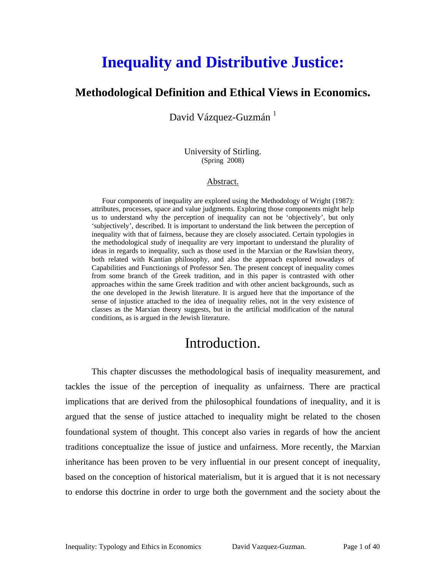# **Inequality and Distributive Justice:**

#### **Methodological Definition and Ethical Views in Economics.**

David Vázquez-Guzmán $^{-1}$  $^{-1}$  $^{-1}$ 

University of Stirling. (Spring 2008)

#### Abstract.

Four components of inequality are explored using the Methodology of Wright (1987): attributes, processes, space and value judgments. Exploring those components might help us to understand why the perception of inequality can not be 'objectively', but only 'subjectively', described. It is important to understand the link between the perception of inequality with that of fairness, because they are closely associated. Certain typologies in the methodological study of inequality are very important to understand the plurality of ideas in regards to inequality, such as those used in the Marxian or the Rawlsian theory, both related with Kantian philosophy, and also the approach explored nowadays of Capabilities and Functionings of Professor Sen. The present concept of inequality comes from some branch of the Greek tradition, and in this paper is contrasted with other approaches within the same Greek tradition and with other ancient backgrounds, such as the one developed in the Jewish literature. It is argued here that the importance of the sense of injustice attached to the idea of inequality relies, not in the very existence of classes as the Marxian theory suggests, but in the artificial modification of the natural conditions, as is argued in the Jewish literature.

### Introduction.

<span id="page-0-0"></span>This chapter discusses the methodological basis of inequality measurement, and tackles the issue of the perception of inequality as unfairness. There are practical implications that are derived from the philosophical foundations of inequality, and it is argued that the sense of justice attached to inequality might be related to the chosen foundational system of thought. This concept also varies in regards of how the ancient traditions conceptualize the issue of justice and unfairness. More recently, the Marxian inheritance has been proven to be very influential in our present concept of inequality, based on the conception of historical materialism, but it is argued that it is not necessary to endorse this doctrine in order to urge both the government and the society about the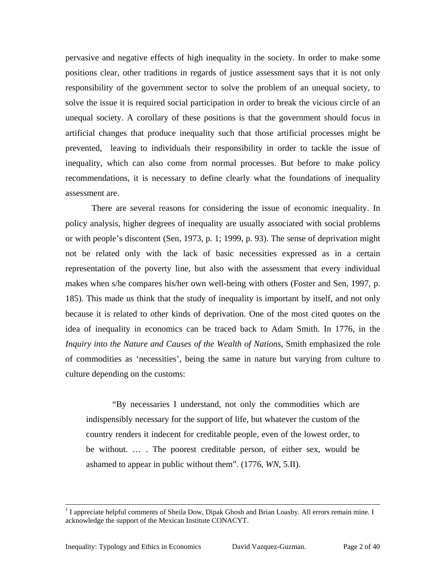pervasive and negative effects of high inequality in the society. In order to make some positions clear, other traditions in regards of justice assessment says that it is not only responsibility of the government sector to solve the problem of an unequal society, to solve the issue it is required social participation in order to break the vicious circle of an unequal society. A corollary of these positions is that the government should focus in artificial changes that produce inequality such that those artificial processes might be prevented, leaving to individuals their responsibility in order to tackle the issue of inequality, which can also come from normal processes. But before to make policy recommendations, it is necessary to define clearly what the foundations of inequality assessment are.

There are several reasons for considering the issue of economic inequality. In policy analysis, higher degrees of inequality are usually associated with social problems or with people's discontent (Sen, 1973, p. 1; 1999, p. 93). The sense of deprivation might not be related only with the lack of basic necessities expressed as in a certain representation of the poverty line, but also with the assessment that every individual makes when s/he compares his/her own well-being with others (Foster and Sen, 1997, p. 185). This made us think that the study of inequality is important by itself, and not only because it is related to other kinds of deprivation. One of the most cited quotes on the idea of inequality in economics can be traced back to Adam Smith. In 1776, in the *Inquiry into the Nature and Causes of the Wealth of Nations*, Smith emphasized the role of commodities as 'necessities', being the same in nature but varying from culture to culture depending on the customs:

"By necessaries I understand, not only the commodities which are indispensibly necessary for the support of life, but whatever the custom of the country renders it indecent for creditable people, even of the lowest order, to be without. … . The poorest creditable person, of either sex, would be ashamed to appear in public without them". (1776, *WN*, 5.II).

 $\frac{1}{1}$  $<sup>1</sup>$  I appreciate helpful comments of Sheila Dow, Dipak Ghosh and Brian Loasby. All errors remain mine. I</sup> acknowledge the support of the Mexican Institute CONACYT.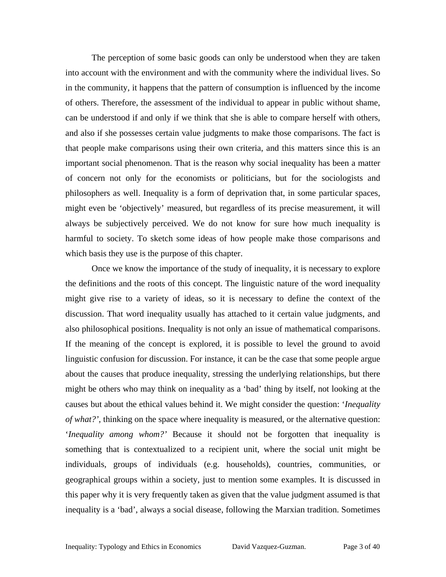The perception of some basic goods can only be understood when they are taken into account with the environment and with the community where the individual lives. So in the community, it happens that the pattern of consumption is influenced by the income of others. Therefore, the assessment of the individual to appear in public without shame, can be understood if and only if we think that she is able to compare herself with others, and also if she possesses certain value judgments to make those comparisons. The fact is that people make comparisons using their own criteria, and this matters since this is an important social phenomenon. That is the reason why social inequality has been a matter of concern not only for the economists or politicians, but for the sociologists and philosophers as well. Inequality is a form of deprivation that, in some particular spaces, might even be 'objectively' measured, but regardless of its precise measurement, it will always be subjectively perceived. We do not know for sure how much inequality is harmful to society. To sketch some ideas of how people make those comparisons and which basis they use is the purpose of this chapter.

Once we know the importance of the study of inequality, it is necessary to explore the definitions and the roots of this concept. The linguistic nature of the word inequality might give rise to a variety of ideas, so it is necessary to define the context of the discussion. That word inequality usually has attached to it certain value judgments, and also philosophical positions. Inequality is not only an issue of mathematical comparisons. If the meaning of the concept is explored, it is possible to level the ground to avoid linguistic confusion for discussion. For instance, it can be the case that some people argue about the causes that produce inequality, stressing the underlying relationships, but there might be others who may think on inequality as a 'bad' thing by itself, not looking at the causes but about the ethical values behind it. We might consider the question: '*Inequality of what?'*, thinking on the space where inequality is measured, or the alternative question: '*Inequality among whom?'* Because it should not be forgotten that inequality is something that is contextualized to a recipient unit, where the social unit might be individuals, groups of individuals (e.g. households), countries, communities, or geographical groups within a society, just to mention some examples. It is discussed in this paper why it is very frequently taken as given that the value judgment assumed is that inequality is a 'bad', always a social disease, following the Marxian tradition. Sometimes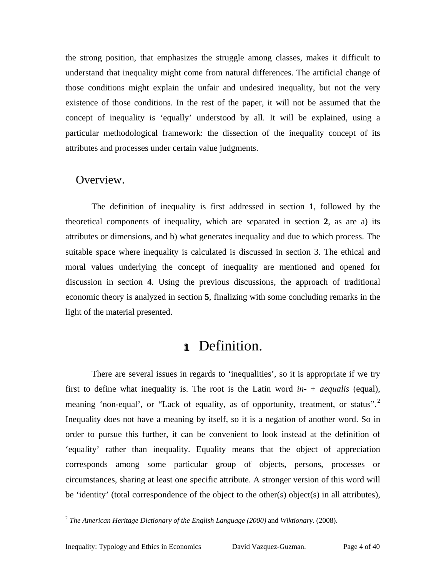the strong position, that emphasizes the struggle among classes, makes it difficult to understand that inequality might come from natural differences. The artificial change of those conditions might explain the unfair and undesired inequality, but not the very existence of those conditions. In the rest of the paper, it will not be assumed that the concept of inequality is 'equally' understood by all. It will be explained, using a particular methodological framework: the dissection of the inequality concept of its attributes and processes under certain value judgments.

#### Overview.

The definition of inequality is first addressed in section **[1](#page-3-0)**, followed by the theoretical components of inequality, which are separated in section **[2](#page-4-0)**, as are a) its attributes or dimensions, and b) what generates inequality and due to which process. The suitable space where inequality is calculated is discussed in section [3.](#page-9-0) The ethical and moral values underlying the concept of inequality are mentioned and opened for discussion in section **[4](#page-14-0)**. Using the previous discussions, the approach of traditional economic theory is analyzed in section **[5](#page-30-0)**, finalizing with some concluding remarks in the light of the material presented.

### <span id="page-3-0"></span>**1** Definition.

There are several issues in regards to 'inequalities', so it is appropriate if we try first to define what inequality is. The root is the Latin word *in-* + *aequalis* (equal), meaning 'non-equal', or "Lack of equality, as of opportunity, treatment, or status".<sup>[2](#page-3-1)</sup> Inequality does not have a meaning by itself, so it is a negation of another word. So in order to pursue this further, it can be convenient to look instead at the definition of 'equality' rather than inequality. Equality means that the object of appreciation corresponds among some particular group of objects, persons, processes or circumstances, sharing at least one specific attribute. A stronger version of this word will be 'identity' (total correspondence of the object to the other(s) object(s) in all attributes),

<span id="page-3-1"></span> <sup>2</sup> *The American Heritage Dictionary of the English Language (2000)* and *Wiktionary*. (2008).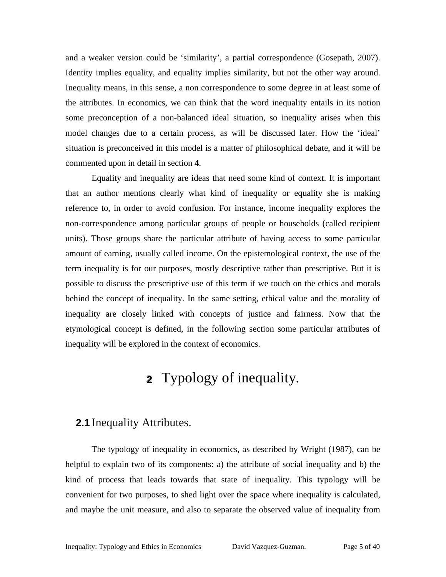and a weaker version could be 'similarity', a partial correspondence (Gosepath, 2007). Identity implies equality, and equality implies similarity, but not the other way around. Inequality means, in this sense, a non correspondence to some degree in at least some of the attributes. In economics, we can think that the word inequality entails in its notion some preconception of a non-balanced ideal situation, so inequality arises when this model changes due to a certain process, as will be discussed later. How the 'ideal' situation is preconceived in this model is a matter of philosophical debate, and it will be commented upon in detail in section **[4](#page-14-0)**.

Equality and inequality are ideas that need some kind of context. It is important that an author mentions clearly what kind of inequality or equality she is making reference to, in order to avoid confusion. For instance, income inequality explores the non-correspondence among particular groups of people or households (called recipient units). Those groups share the particular attribute of having access to some particular amount of earning, usually called income. On the epistemological context, the use of the term inequality is for our purposes, mostly descriptive rather than prescriptive. But it is possible to discuss the prescriptive use of this term if we touch on the ethics and morals behind the concept of inequality. In the same setting, ethical value and the morality of inequality are closely linked with concepts of justice and fairness. Now that the etymological concept is defined, in the following section some particular attributes of inequality will be explored in the context of economics.

## <span id="page-4-0"></span>**2** Typology of inequality.

### **2.1** Inequality Attributes.

The typology of inequality in economics, as described by Wright (1987), can be helpful to explain two of its components: a) the attribute of social inequality and b) the kind of process that leads towards that state of inequality. This typology will be convenient for two purposes, to shed light over the space where inequality is calculated, and maybe the unit measure, and also to separate the observed value of inequality from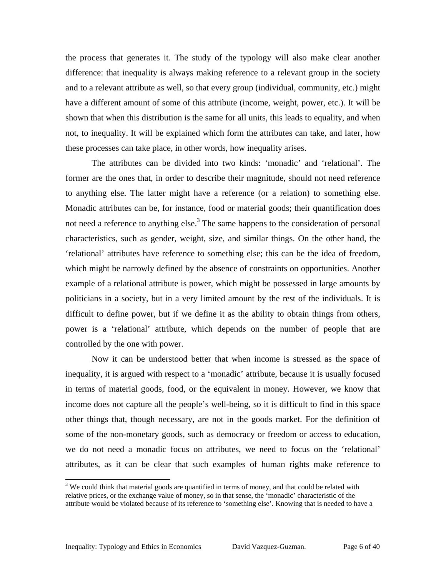the process that generates it. The study of the typology will also make clear another difference: that inequality is always making reference to a relevant group in the society and to a relevant attribute as well, so that every group (individual, community, etc.) might have a different amount of some of this attribute (income, weight, power, etc.). It will be shown that when this distribution is the same for all units, this leads to equality, and when not, to inequality. It will be explained which form the attributes can take, and later, how these processes can take place, in other words, how inequality arises.

The attributes can be divided into two kinds: 'monadic' and 'relational'. The former are the ones that, in order to describe their magnitude, should not need reference to anything else. The latter might have a reference (or a relation) to something else. Monadic attributes can be, for instance, food or material goods; their quantification does not need a reference to anything else.<sup>3</sup> The same happens to the consideration of personal characteristics, such as gender, weight, size, and similar things. On the other hand, the 'relational' attributes have reference to something else; this can be the idea of freedom, which might be narrowly defined by the absence of constraints on opportunities. Another example of a relational attribute is power, which might be possessed in large amounts by politicians in a society, but in a very limited amount by the rest of the individuals. It is difficult to define power, but if we define it as the ability to obtain things from others, power is a 'relational' attribute, which depends on the number of people that are controlled by the one with power.

Now it can be understood better that when income is stressed as the space of inequality, it is argued with respect to a 'monadic' attribute, because it is usually focused in terms of material goods, food, or the equivalent in money. However, we know that income does not capture all the people's well-being, so it is difficult to find in this space other things that, though necessary, are not in the goods market. For the definition of some of the non-monetary goods, such as democracy or freedom or access to education, we do not need a monadic focus on attributes, we need to focus on the 'relational' attributes, as it can be clear that such examples of human rights make reference to

<span id="page-5-0"></span><sup>&</sup>lt;sup>3</sup> We could think that material goods are quantified in terms of money, and that could be related with relative prices, or the exchange value of money, so in that sense, the 'monadic' characteristic of the attribute would be violated because of its reference to 'something else'. Knowing that is needed to have a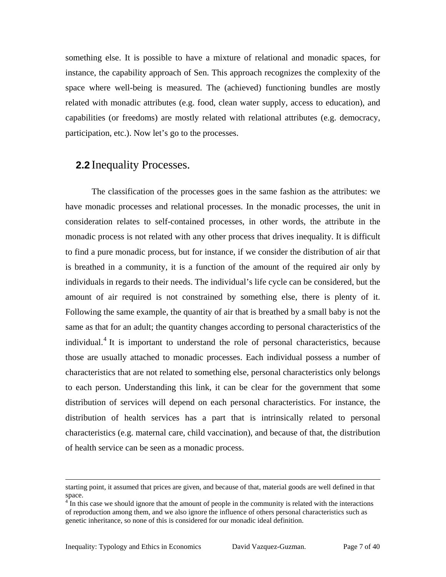something else. It is possible to have a mixture of relational and monadic spaces, for instance, the capability approach of Sen. This approach recognizes the complexity of the space where well-being is measured. The (achieved) functioning bundles are mostly related with monadic attributes (e.g. food, clean water supply, access to education), and capabilities (or freedoms) are mostly related with relational attributes (e.g. democracy, participation, etc.). Now let's go to the processes.

#### **2.2** Inequality Processes.

The classification of the processes goes in the same fashion as the attributes: we have monadic processes and relational processes. In the monadic processes, the unit in consideration relates to self-contained processes, in other words, the attribute in the monadic process is not related with any other process that drives inequality. It is difficult to find a pure monadic process, but for instance, if we consider the distribution of air that is breathed in a community, it is a function of the amount of the required air only by individuals in regards to their needs. The individual's life cycle can be considered, but the amount of air required is not constrained by something else, there is plenty of it. Following the same example, the quantity of air that is breathed by a small baby is not the same as that for an adult; the quantity changes according to personal characteristics of the individual.<sup>[4](#page-6-0)</sup> It is important to understand the role of personal characteristics, because those are usually attached to monadic processes. Each individual possess a number of characteristics that are not related to something else, personal characteristics only belongs to each person. Understanding this link, it can be clear for the government that some distribution of services will depend on each personal characteristics. For instance, the distribution of health services has a part that is intrinsically related to personal characteristics (e.g. maternal care, child vaccination), and because of that, the distribution of health service can be seen as a monadic process.

1

starting point, it assumed that prices are given, and because of that, material goods are well defined in that space.<br><sup>4</sup> In this case we should ignore that the amount of people in the community is related with the interactions

<span id="page-6-0"></span>of reproduction among them, and we also ignore the influence of others personal characteristics such as genetic inheritance, so none of this is considered for our monadic ideal definition.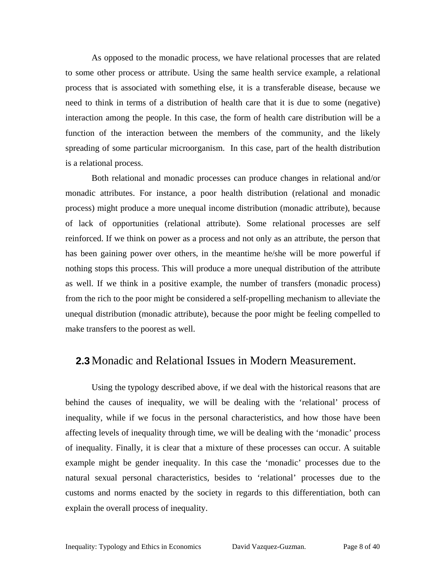As opposed to the monadic process, we have relational processes that are related to some other process or attribute. Using the same health service example, a relational process that is associated with something else, it is a transferable disease, because we need to think in terms of a distribution of health care that it is due to some (negative) interaction among the people. In this case, the form of health care distribution will be a function of the interaction between the members of the community, and the likely spreading of some particular microorganism. In this case, part of the health distribution is a relational process.

Both relational and monadic processes can produce changes in relational and/or monadic attributes. For instance, a poor health distribution (relational and monadic process) might produce a more unequal income distribution (monadic attribute), because of lack of opportunities (relational attribute). Some relational processes are self reinforced. If we think on power as a process and not only as an attribute, the person that has been gaining power over others, in the meantime he/she will be more powerful if nothing stops this process. This will produce a more unequal distribution of the attribute as well. If we think in a positive example, the number of transfers (monadic process) from the rich to the poor might be considered a self-propelling mechanism to alleviate the unequal distribution (monadic attribute), because the poor might be feeling compelled to make transfers to the poorest as well.

#### **2.3** Monadic and Relational Issues in Modern Measurement.

Using the typology described above, if we deal with the historical reasons that are behind the causes of inequality, we will be dealing with the 'relational' process of inequality, while if we focus in the personal characteristics, and how those have been affecting levels of inequality through time, we will be dealing with the 'monadic' process of inequality. Finally, it is clear that a mixture of these processes can occur. A suitable example might be gender inequality. In this case the 'monadic' processes due to the natural sexual personal characteristics, besides to 'relational' processes due to the customs and norms enacted by the society in regards to this differentiation, both can explain the overall process of inequality.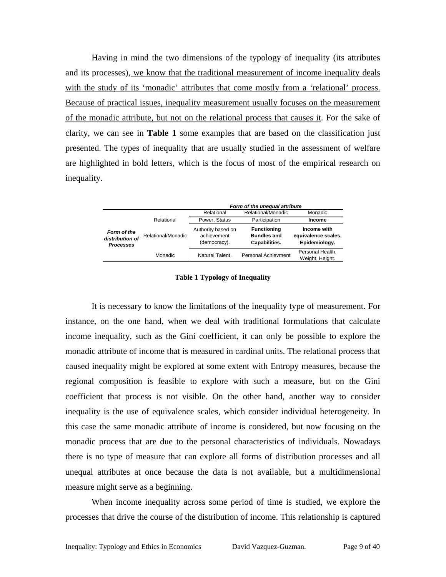Having in mind the two dimensions of the typology of inequality (its attributes and its processes), we know that the traditional measurement of income inequality deals with the study of its 'monadic' attributes that come mostly from a 'relational' process. Because of practical issues, inequality measurement usually focuses on the measurement of the monadic attribute, but not on the relational process that causes it. For the sake of clarity, we can see in **[Table 1](#page-8-0)** some examples that are based on the classification just presented. The types of inequality that are usually studied in the assessment of welfare are highlighted in bold letters, which is the focus of most of the empirical research on inequality.

|                                                    |                    | Form of the unequal attribute                     |                                                           |                                                     |
|----------------------------------------------------|--------------------|---------------------------------------------------|-----------------------------------------------------------|-----------------------------------------------------|
|                                                    |                    | Relational                                        | Relational/Monadic                                        | Monadic                                             |
|                                                    | Relational         | Power, Status                                     | Participation                                             | Income                                              |
| Form of the<br>distribution of<br><b>Processes</b> | Relational/Monadic | Authority based on<br>achievement<br>(democracy). | <b>Functioning</b><br><b>Bundles and</b><br>Capabilities. | Income with<br>equivalence scales,<br>Epidemiology. |
|                                                    | Monadic            | Natural Talent.                                   | <b>Personal Achievment</b>                                | Personal Health,<br>Weight, Height.                 |

<span id="page-8-0"></span>**Table 1 Typology of Inequality**

It is necessary to know the limitations of the inequality type of measurement. For instance, on the one hand, when we deal with traditional formulations that calculate income inequality, such as the Gini coefficient, it can only be possible to explore the monadic attribute of income that is measured in cardinal units. The relational process that caused inequality might be explored at some extent with Entropy measures, because the regional composition is feasible to explore with such a measure, but on the Gini coefficient that process is not visible. On the other hand, another way to consider inequality is the use of equivalence scales, which consider individual heterogeneity. In this case the same monadic attribute of income is considered, but now focusing on the monadic process that are due to the personal characteristics of individuals. Nowadays there is no type of measure that can explore all forms of distribution processes and all unequal attributes at once because the data is not available, but a multidimensional measure might serve as a beginning.

When income inequality across some period of time is studied, we explore the processes that drive the course of the distribution of income. This relationship is captured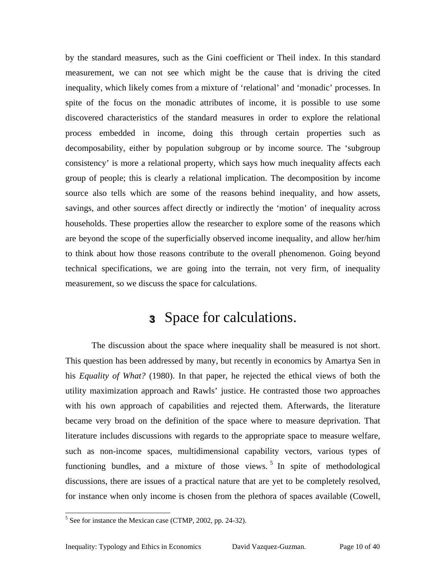by the standard measures, such as the Gini coefficient or Theil index. In this standard measurement, we can not see which might be the cause that is driving the cited inequality, which likely comes from a mixture of 'relational' and 'monadic' processes. In spite of the focus on the monadic attributes of income, it is possible to use some discovered characteristics of the standard measures in order to explore the relational process embedded in income, doing this through certain properties such as decomposability, either by population subgroup or by income source. The 'subgroup consistency' is more a relational property, which says how much inequality affects each group of people; this is clearly a relational implication. The decomposition by income source also tells which are some of the reasons behind inequality, and how assets, savings, and other sources affect directly or indirectly the 'motion' of inequality across households. These properties allow the researcher to explore some of the reasons which are beyond the scope of the superficially observed income inequality, and allow her/him to think about how those reasons contribute to the overall phenomenon. Going beyond technical specifications, we are going into the terrain, not very firm, of inequality measurement, so we discuss the space for calculations.

### <span id="page-9-0"></span>**333** Space for calculations.

The discussion about the space where inequality shall be measured is not short. This question has been addressed by many, but recently in economics by Amartya Sen in his *Equality of What?* (1980). In that paper, he rejected the ethical views of both the utility maximization approach and Rawls' justice. He contrasted those two approaches with his own approach of capabilities and rejected them. Afterwards, the literature became very broad on the definition of the space where to measure deprivation. That literature includes discussions with regards to the appropriate space to measure welfare, such as non-income spaces, multidimensional capability vectors, various types of functioning bundles, and a mixture of those views.<sup>[5](#page-9-1)</sup> In spite of methodological discussions, there are issues of a practical nature that are yet to be completely resolved, for instance when only income is chosen from the plethora of spaces available (Cowell,

<span id="page-9-1"></span> <sup>5</sup>  $5$  See for instance the Mexican case (CTMP, 2002, pp. 24-32).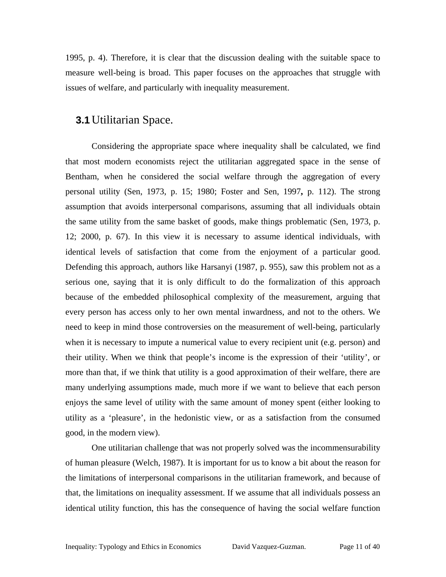1995, p. 4). Therefore, it is clear that the discussion dealing with the suitable space to measure well-being is broad. This paper focuses on the approaches that struggle with issues of welfare, and particularly with inequality measurement.

#### <span id="page-10-0"></span>**3.1** Utilitarian Space.

Considering the appropriate space where inequality shall be calculated, we find that most modern economists reject the utilitarian aggregated space in the sense of Bentham, when he considered the social welfare through the aggregation of every personal utility (Sen, 1973, p. 15; 1980; Foster and Sen, 1997**,** p. 112). The strong assumption that avoids interpersonal comparisons, assuming that all individuals obtain the same utility from the same basket of goods, make things problematic (Sen, 1973, p. 12; 2000, p. 67). In this view it is necessary to assume identical individuals, with identical levels of satisfaction that come from the enjoyment of a particular good. Defending this approach, authors like Harsanyi (1987, p. 955), saw this problem not as a serious one, saying that it is only difficult to do the formalization of this approach because of the embedded philosophical complexity of the measurement, arguing that every person has access only to her own mental inwardness, and not to the others. We need to keep in mind those controversies on the measurement of well-being, particularly when it is necessary to impute a numerical value to every recipient unit (e.g. person) and their utility. When we think that people's income is the expression of their 'utility', or more than that, if we think that utility is a good approximation of their welfare, there are many underlying assumptions made, much more if we want to believe that each person enjoys the same level of utility with the same amount of money spent (either looking to utility as a 'pleasure', in the hedonistic view, or as a satisfaction from the consumed good, in the modern view).

One utilitarian challenge that was not properly solved was the incommensurability of human pleasure (Welch, 1987). It is important for us to know a bit about the reason for the limitations of interpersonal comparisons in the utilitarian framework, and because of that, the limitations on inequality assessment. If we assume that all individuals possess an identical utility function, this has the consequence of having the social welfare function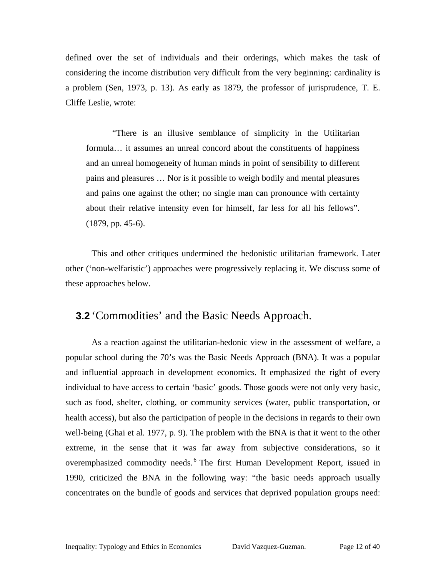defined over the set of individuals and their orderings, which makes the task of considering the income distribution very difficult from the very beginning: cardinality is a problem (Sen, 1973, p. 13). As early as 1879, the professor of jurisprudence, T. E. Cliffe Leslie, wrote:

"There is an illusive semblance of simplicity in the Utilitarian formula… it assumes an unreal concord about the constituents of happiness and an unreal homogeneity of human minds in point of sensibility to different pains and pleasures … Nor is it possible to weigh bodily and mental pleasures and pains one against the other; no single man can pronounce with certainty about their relative intensity even for himself, far less for all his fellows". (1879, pp. 45-6).

This and other critiques undermined the hedonistic utilitarian framework. Later other ('non-welfaristic') approaches were progressively replacing it. We discuss some of these approaches below.

#### **3.2** 'Commodities' and the Basic Needs Approach.

<span id="page-11-0"></span>As a reaction against the utilitarian-hedonic view in the assessment of welfare, a popular school during the 70's was the Basic Needs Approach (BNA). It was a popular and influential approach in development economics. It emphasized the right of every individual to have access to certain 'basic' goods. Those goods were not only very basic, such as food, shelter, clothing, or community services (water, public transportation, or health access), but also the participation of people in the decisions in regards to their own well-being (Ghai et al. 1977, p. 9). The problem with the BNA is that it went to the other extreme, in the sense that it was far away from subjective considerations, so it overemphasized commodity needs.<sup>[6](#page-11-0)</sup> The first Human Development Report, issued in 1990, criticized the BNA in the following way: "the basic needs approach usually concentrates on the bundle of goods and services that deprived population groups need: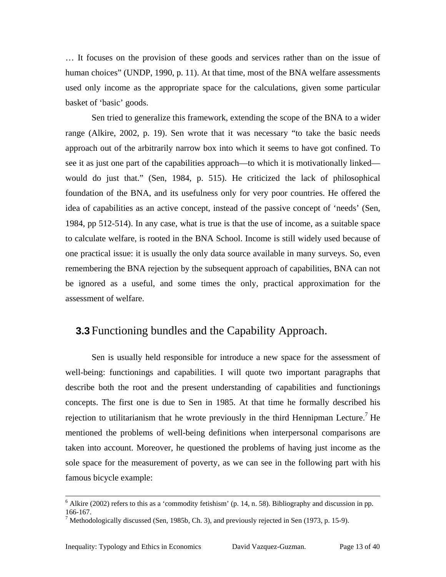… It focuses on the provision of these goods and services rather than on the issue of human choices" (UNDP, 1990, p. 11). At that time, most of the BNA welfare assessments used only income as the appropriate space for the calculations, given some particular basket of 'basic' goods.

Sen tried to generalize this framework, extending the scope of the BNA to a wider range (Alkire, 2002, p. 19). Sen wrote that it was necessary "to take the basic needs approach out of the arbitrarily narrow box into which it seems to have got confined. To see it as just one part of the capabilities approach—to which it is motivationally linked would do just that." (Sen, 1984, p. 515). He criticized the lack of philosophical foundation of the BNA, and its usefulness only for very poor countries. He offered the idea of capabilities as an active concept, instead of the passive concept of 'needs' (Sen, 1984, pp 512-514). In any case, what is true is that the use of income, as a suitable space to calculate welfare, is rooted in the BNA School. Income is still widely used because of one practical issue: it is usually the only data source available in many surveys. So, even remembering the BNA rejection by the subsequent approach of capabilities, BNA can not be ignored as a useful, and some times the only, practical approximation for the assessment of welfare.

### <span id="page-12-1"></span>**3.3** Functioning bundles and the Capability Approach.

Sen is usually held responsible for introduce a new space for the assessment of well-being: functionings and capabilities. I will quote two important paragraphs that describe both the root and the present understanding of capabilities and functionings concepts. The first one is due to Sen in 1985. At that time he formally described his rejection to utilitarianism that he wrote previously in the third Hennipman Lecture.<sup>[7](#page-12-0)</sup> He mentioned the problems of well-being definitions when interpersonal comparisons are taken into account. Moreover, he questioned the problems of having just income as the sole space for the measurement of poverty, as we can see in the following part with his famous bicycle example:

 $\frac{1}{6}$  $<sup>6</sup>$  Alkire (2002) refers to this as a 'commodity fetishism' (p. 14, n. 58). Bibliography and discussion in pp.</sup> 166-167. 7

<span id="page-12-0"></span> $^7$  Methodologically discussed (Sen, 1985b, Ch. 3), and previously rejected in Sen (1973, p. 15-9).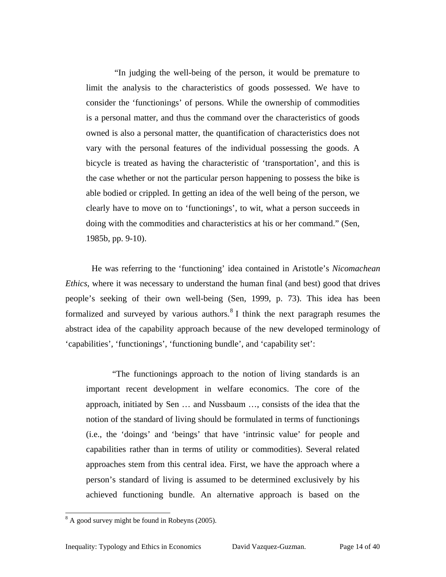"In judging the well-being of the person, it would be premature to limit the analysis to the characteristics of goods possessed. We have to consider the 'functionings' of persons. While the ownership of commodities is a personal matter, and thus the command over the characteristics of goods owned is also a personal matter, the quantification of characteristics does not vary with the personal features of the individual possessing the goods. A bicycle is treated as having the characteristic of 'transportation', and this is the case whether or not the particular person happening to possess the bike is able bodied or crippled. In getting an idea of the well being of the person, we clearly have to move on to 'functionings', to wit, what a person succeeds in doing with the commodities and characteristics at his or her command." (Sen, 1985b, pp. 9-10).

He was referring to the 'functioning' idea contained in Aristotle's *Nicomachean Ethics*, where it was necessary to understand the human final (and best) good that drives people's seeking of their own well-being (Sen, 1999, p. 73). This idea has been formalized and surveyed by various authors.<sup>[8](#page-13-0)</sup> I think the next paragraph resumes the abstract idea of the capability approach because of the new developed terminology of 'capabilities', 'functionings', 'functioning bundle', and 'capability set':

"The functionings approach to the notion of living standards is an important recent development in welfare economics. The core of the approach, initiated by Sen … and Nussbaum …, consists of the idea that the notion of the standard of living should be formulated in terms of functionings (i.e., the 'doings' and 'beings' that have 'intrinsic value' for people and capabilities rather than in terms of utility or commodities). Several related approaches stem from this central idea. First, we have the approach where a person's standard of living is assumed to be determined exclusively by his achieved functioning bundle. An alternative approach is based on the

<span id="page-13-0"></span> <sup>8</sup>  $8<sup>8</sup>$  A good survey might be found in Robeyns (2005).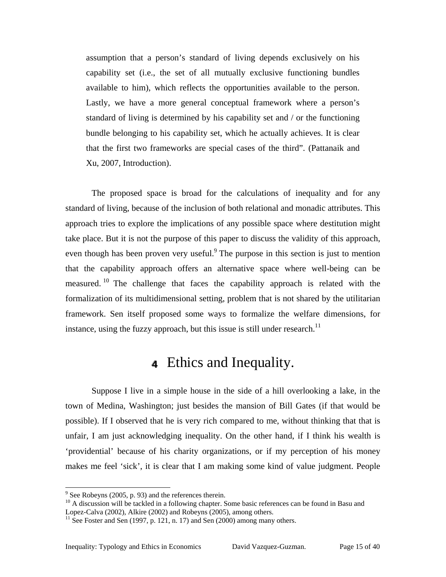assumption that a person's standard of living depends exclusively on his capability set (i.e., the set of all mutually exclusive functioning bundles available to him), which reflects the opportunities available to the person. Lastly, we have a more general conceptual framework where a person's standard of living is determined by his capability set and / or the functioning bundle belonging to his capability set, which he actually achieves. It is clear that the first two frameworks are special cases of the third". (Pattanaik and Xu, 2007, Introduction).

The proposed space is broad for the calculations of inequality and for any standard of living, because of the inclusion of both relational and monadic attributes. This approach tries to explore the implications of any possible space where destitution might take place. But it is not the purpose of this paper to discuss the validity of this approach, even though has been proven very useful.<sup>[9](#page-14-1)</sup> The purpose in this section is just to mention that the capability approach offers an alternative space where well-being can be measured. <sup>[10](#page-14-2)</sup> The challenge that faces the capability approach is related with the formalization of its multidimensional setting, problem that is not shared by the utilitarian framework. Sen itself proposed some ways to formalize the welfare dimensions, for instance, using the fuzzy approach, but this issue is still under research.<sup>[11](#page-14-3)</sup>

### <span id="page-14-0"></span>**444** Ethics and Inequality.

Suppose I live in a simple house in the side of a hill overlooking a lake, in the town of Medina, Washington; just besides the mansion of Bill Gates (if that would be possible). If I observed that he is very rich compared to me, without thinking that that is unfair, I am just acknowledging inequality. On the other hand, if I think his wealth is 'providential' because of his charity organizations, or if my perception of his money makes me feel 'sick', it is clear that I am making some kind of value judgment. People

<sup>&</sup>lt;sub>9</sub>

<span id="page-14-2"></span><span id="page-14-1"></span><sup>&</sup>lt;sup>9</sup> See Robeyns (2005, p. 93) and the references therein.  $10$ <br>
<sup>10</sup> A discussion will be tackled in a following chapter. Some basic references can be found in Basu and Lopez-Calva (2002), Alkire (2002) and Robeyns (2005), among others.<br><sup>11</sup> See Foster and Sen (1997, p. 121, n. 17) and Sen (2000) among many others.

<span id="page-14-3"></span>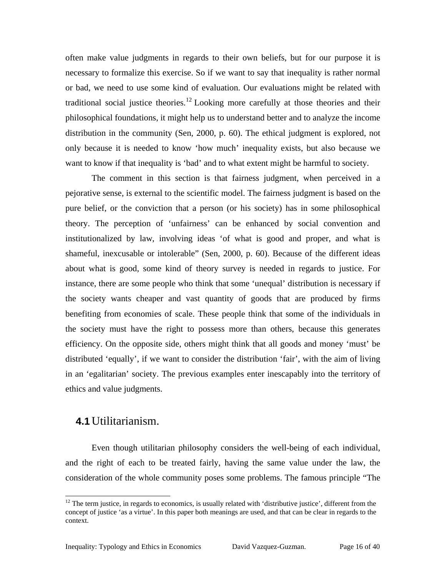often make value judgments in regards to their own beliefs, but for our purpose it is necessary to formalize this exercise. So if we want to say that inequality is rather normal or bad, we need to use some kind of evaluation. Our evaluations might be related with traditional social justice theories.<sup>[12](#page-15-0)</sup> Looking more carefully at those theories and their philosophical foundations, it might help us to understand better and to analyze the income distribution in the community (Sen, 2000, p. 60). The ethical judgment is explored, not only because it is needed to know 'how much' inequality exists, but also because we want to know if that inequality is 'bad' and to what extent might be harmful to society.

The comment in this section is that fairness judgment, when perceived in a pejorative sense, is external to the scientific model. The fairness judgment is based on the pure belief, or the conviction that a person (or his society) has in some philosophical theory. The perception of 'unfairness' can be enhanced by social convention and institutionalized by law, involving ideas 'of what is good and proper, and what is shameful, inexcusable or intolerable" (Sen, 2000, p. 60). Because of the different ideas about what is good, some kind of theory survey is needed in regards to justice. For instance, there are some people who think that some 'unequal' distribution is necessary if the society wants cheaper and vast quantity of goods that are produced by firms benefiting from economies of scale. These people think that some of the individuals in the society must have the right to possess more than others, because this generates efficiency. On the opposite side, others might think that all goods and money 'must' be distributed 'equally', if we want to consider the distribution 'fair', with the aim of living in an 'egalitarian' society. The previous examples enter inescapably into the territory of ethics and value judgments.

#### **4.1** Utilitarianism.

Even though utilitarian philosophy considers the well-being of each individual, and the right of each to be treated fairly, having the same value under the law, the consideration of the whole community poses some problems. The famous principle "The

<span id="page-15-0"></span> $12$  The term justice, in regards to economics, is usually related with 'distributive justice', different from the concept of justice 'as a virtue'. In this paper both meanings are used, and that can be clear in regards to the context.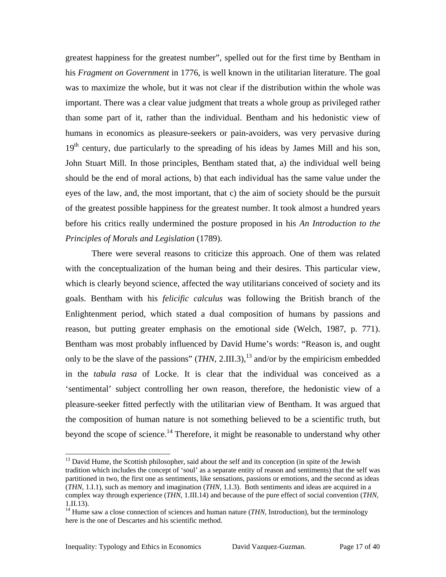greatest happiness for the greatest number", spelled out for the first time by Bentham in his *Fragment on Government* in 1776, is well known in the utilitarian literature. The goal was to maximize the whole, but it was not clear if the distribution within the whole was important. There was a clear value judgment that treats a whole group as privileged rather than some part of it, rather than the individual. Bentham and his hedonistic view of humans in economics as pleasure-seekers or pain-avoiders, was very pervasive during  $19<sup>th</sup>$  century, due particularly to the spreading of his ideas by James Mill and his son, John Stuart Mill. In those principles, Bentham stated that, a) the individual well being should be the end of moral actions, b) that each individual has the same value under the eyes of the law, and, the most important, that c) the aim of society should be the pursuit of the greatest possible happiness for the greatest number. It took almost a hundred years before his critics really undermined the posture proposed in his *An Introduction to the Principles of Morals and Legislation* (1789).

There were several reasons to criticize this approach. One of them was related with the conceptualization of the human being and their desires. This particular view, which is clearly beyond science, affected the way utilitarians conceived of society and its goals. Bentham with his *felicific calculus* was following the British branch of the Enlightenment period, which stated a dual composition of humans by passions and reason, but putting greater emphasis on the emotional side (Welch, 1987, p. 771). Bentham was most probably influenced by David Hume's words: "Reason is, and ought only to be the slave of the passions"  $(THN, 2.III.3)$ ,<sup>[13](#page-16-0)</sup> and/or by the empiricism embedded in the *tabula rasa* of Locke. It is clear that the individual was conceived as a 'sentimental' subject controlling her own reason, therefore, the hedonistic view of a pleasure-seeker fitted perfectly with the utilitarian view of Bentham. It was argued that the composition of human nature is not something believed to be a scientific truth, but beyond the scope of science.<sup>14</sup> Therefore, it might be reasonable to understand why other

<span id="page-16-0"></span> $<sup>13</sup>$  David Hume, the Scottish philosopher, said about the self and its conception (in spite of the Jewish</sup> tradition which includes the concept of 'soul' as a separate entity of reason and sentiments) that the self was partitioned in two, the first one as sentiments, like sensations, passions or emotions, and the second as ideas (*THN*, 1.I.1), such as memory and imagination (*THN*, 1.I.3). Both sentiments and ideas are acquired in a complex way through experience (*THN*, 1.III.14) and because of the pure effect of social convention (*THN*, 1.II.13). 14 Hume saw a close connection of sciences and human nature (*THN*, Introduction), but the terminology

<span id="page-16-1"></span>here is the one of Descartes and his scientific method.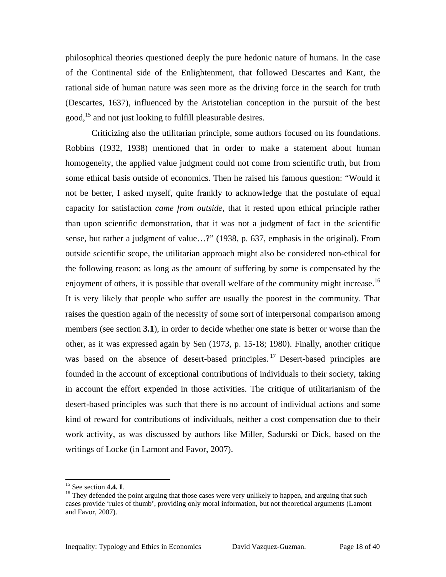philosophical theories questioned deeply the pure hedonic nature of humans. In the case of the Continental side of the Enlightenment, that followed Descartes and Kant, the rational side of human nature was seen more as the driving force in the search for truth (Descartes, 1637), influenced by the Aristotelian conception in the pursuit of the best good,<sup>15</sup> and not just looking to fulfill pleasurable desires.

Criticizing also the utilitarian principle, some authors focused on its foundations. Robbins (1932, 1938) mentioned that in order to make a statement about human homogeneity, the applied value judgment could not come from scientific truth, but from some ethical basis outside of economics. Then he raised his famous question: "Would it not be better, I asked myself, quite frankly to acknowledge that the postulate of equal capacity for satisfaction *came from outside*, that it rested upon ethical principle rather than upon scientific demonstration, that it was not a judgment of fact in the scientific sense, but rather a judgment of value…?" (1938, p. 637, emphasis in the original). From outside scientific scope, the utilitarian approach might also be considered non-ethical for the following reason: as long as the amount of suffering by some is compensated by the enjoyment of others, it is possible that overall welfare of the community might increase.<sup>16</sup> It is very likely that people who suffer are usually the poorest in the community. That raises the question again of the necessity of some sort of interpersonal comparison among members (see section **[3.1](#page-10-0)**), in order to decide whether one state is better or worse than the other, as it was expressed again by Sen (1973, p. 15-18; 1980). Finally, another critique was based on the absence of desert-based principles.<sup>[17](#page-17-2)</sup> Desert-based principles are founded in the account of exceptional contributions of individuals to their society, taking in account the effort expended in those activities. The critique of utilitarianism of the desert-based principles was such that there is no account of individual actions and some kind of reward for contributions of individuals, neither a cost compensation due to their work activity, as was discussed by authors like Miller, Sadurski or Dick, based on the writings of Locke (in Lamont and Favor, 2007).

<span id="page-17-1"></span><span id="page-17-0"></span>

<span id="page-17-2"></span><sup>&</sup>lt;sup>15</sup> See section **4.4. I**. <sup>16</sup> They defended the point arguing that those cases were very unlikely to happen, and arguing that such cases provide 'rules of thumb', providing only moral information, but not theoretical arguments (Lamont and Favor, 2007).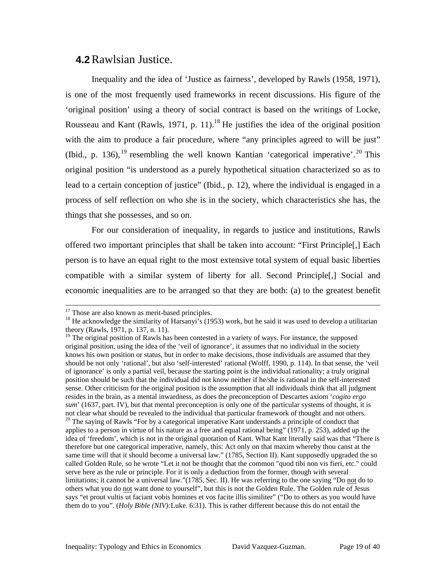#### **4.2** Rawlsian Justice.

Inequality and the idea of 'Justice as fairness', developed by Rawls (1958, 1971), is one of the most frequently used frameworks in recent discussions. His figure of the 'original position' using a theory of social contract is based on the writings of Locke, Rousseau and Kant (Rawls, 1971, p. 11).<sup>18</sup> He justifies the idea of the original position with the aim to produce a fair procedure, where "any principles agreed to will be just" (Ibid., p. 136), <sup>[19](#page-18-1)</sup> resembling the well known Kantian 'categorical imperative'.<sup>20</sup> This original position "is understood as a purely hypothetical situation characterized so as to lead to a certain conception of justice" (Ibid., p. 12), where the individual is engaged in a process of self reflection on who she is in the society, which characteristics she has, the things that she possesses, and so on.

For our consideration of inequality, in regards to justice and institutions, Rawls offered two important principles that shall be taken into account: "First Principle[,] Each person is to have an equal right to the most extensive total system of equal basic liberties compatible with a similar system of liberty for all. Second Principle[,] Social and economic inequalities are to be arranged so that they are both: (a) to the greatest benefit

<span id="page-18-2"></span>applies to a person in virtue of his nature as a free and equal rational being" (1971, p. 253), added up the idea of 'freedom', which is not in the original quotation of Kant. What Kant literally said was that "There is therefore but one categorical imperative, namely, this: Act only on that maxim whereby thou canst at the same time will that it should become a universal law." (1785, Section II). Kant supposedly upgraded the so called Golden Rule, so he wrote "Let it not be thought that the common "quod tibi non vis fieri, etc." could serve here as the rule or principle. For it is only a deduction from the former, though with several limitations; it cannot be a universal law."(1785, Sec. II). He was referring to the one saying "Do not do to others what you do not want done to yourself", but this is not the Golden Rule. The Golden rule of Jesus says "et prout vultis ut faciant vobis homines et vos facite illis similiter" ("Do to others as you would have them do to you". (*Holy Bible (NIV):*Luke. 6:31). This is rather different because this do not entail the

<span id="page-18-0"></span>

<sup>&</sup>lt;sup>17</sup> Those are also known as merit-based principles.<br><sup>18</sup> He acknowledge the similarity of Harsanyi's (1953) work, but he said it was used to develop a utilitarian theory (Rawls, 1971, p. 137, n. 11).  $\frac{19}{19}$  The original position of Rawls has been contested in a variety of ways. For instance, the supposed

<span id="page-18-1"></span>original position, using the idea of the 'veil of ignorance', it assumes that no individual in the society knows his own position or status, but in order to make decisions, those individuals are assumed that they should be not only 'rational', but also 'self-interested' rational (Wolff, 1990, p. 114). In that sense, the 'veil of ignorance' is only a partial veil, because the starting point is the individual rationality; a truly original position should be such that the individual did not know neither if he/she is rational in the self-interested sense. Other criticism for the original position is the assumption that all individuals think that all judgment resides in the brain, as a mental inwardness, as does the preconception of Descartes axiom '*cogito ergo sum*' (1637, part. IV), but that mental preconception is only one of the particular systems of thought, it is not clear what should be revealed to the individual that particular framework of thought and not others.<br><sup>20</sup> The saying of Rawls "For by a categorical imperative Kant understands a principle of conduct that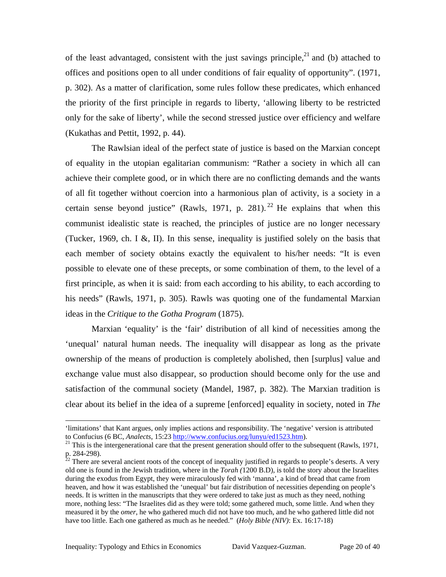of the least advantaged, consistent with the just savings principle,  $21$  and (b) attached to offices and positions open to all under conditions of fair equality of opportunity". (1971, p. 302). As a matter of clarification, some rules follow these predicates, which enhanced the priority of the first principle in regards to liberty, 'allowing liberty to be restricted only for the sake of liberty', while the second stressed justice over efficiency and welfare (Kukathas and Pettit, 1992, p. 44).

<span id="page-19-2"></span>The Rawlsian ideal of the perfect state of justice is based on the Marxian concept of equality in the utopian egalitarian communism: "Rather a society in which all can achieve their complete good, or in which there are no conflicting demands and the wants of all fit together without coercion into a harmonious plan of activity, is a society in a certain sense beyond justice" (Rawls, 1971, p. 281). <sup>[22](#page-19-1)</sup> He explains that when this communist idealistic state is reached, the principles of justice are no longer necessary (Tucker, 1969, ch. I &, II). In this sense, inequality is justified solely on the basis that each member of society obtains exactly the equivalent to his/her needs: "It is even possible to elevate one of these precepts, or some combination of them, to the level of a first principle, as when it is said: from each according to his ability, to each according to his needs" (Rawls, 1971, p. 305). Rawls was quoting one of the fundamental Marxian ideas in the *Critique to the Gotha Program* (1875).

Marxian 'equality' is the 'fair' distribution of all kind of necessities among the 'unequal' natural human needs. The inequality will disappear as long as the private ownership of the means of production is completely abolished, then [surplus] value and exchange value must also disappear, so production should become only for the use and satisfaction of the communal society (Mandel, 1987, p. 382). The Marxian tradition is clear about its belief in the idea of a supreme [enforced] equality in society, noted in *The* 

-

<sup>&#</sup>x27;limitations' that Kant argues, only implies actions and responsibility. The 'negative' version is attributed to Confucius (6 BC, *Analects*, 15:23 http://www.confucius.org/lunyu/ed1523.htm).

<span id="page-19-0"></span><sup>&</sup>lt;sup>21</sup> This is the intergenerational care that the present generation should offer to the subsequent (Rawls, 1971,

<span id="page-19-1"></span>p. 284-298).<br><sup>22</sup> There are several ancient roots of the concept of inequality justified in regards to people's deserts. A very old one is found in the Jewish tradition, where in the *Torah (*1200 B.D)*,* is told the story about the Israelites during the exodus from Egypt, they were miraculously fed with 'manna', a kind of bread that came from heaven, and how it was established the 'unequal' but fair distribution of necessities depending on people's needs. It is written in the manuscripts that they were ordered to take just as much as they need, nothing more, nothing less: "The Israelites did as they were told; some gathered much, some little. And when they measured it by the *omer*, he who gathered much did not have too much, and he who gathered little did not have too little. Each one gathered as much as he needed." (*Holy Bible (NIV)*: Ex. 16:17-18)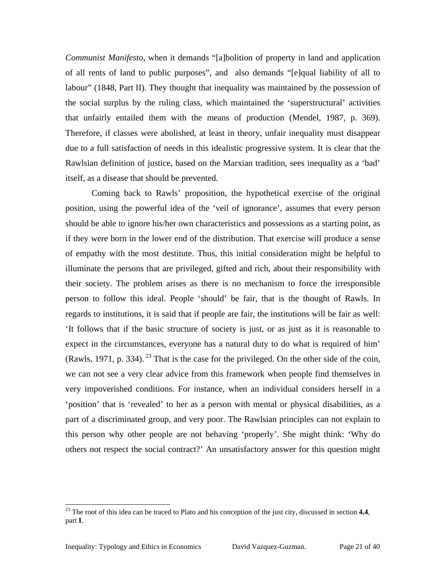*Communist Manifesto,* when it demands "[a]bolition of property in land and application of all rents of land to public purposes", and also demands "[e]qual liability of all to labour" (1848, Part II). They thought that inequality was maintained by the possession of the social surplus by the ruling class, which maintained the 'superstructural' activities that unfairly entailed them with the means of production (Mendel, 1987, p. 369). Therefore, if classes were abolished, at least in theory, unfair inequality must disappear due to a full satisfaction of needs in this idealistic progressive system. It is clear that the Rawlsian definition of justice, based on the Marxian tradition, sees inequality as a 'bad' itself, as a disease that should be prevented.

Coming back to Rawls' proposition, the hypothetical exercise of the original position, using the powerful idea of the 'veil of ignorance', assumes that every person should be able to ignore his/her own characteristics and possessions as a starting point, as if they were born in the lower end of the distribution. That exercise will produce a sense of empathy with the most destitute. Thus, this initial consideration might be helpful to illuminate the persons that are privileged, gifted and rich, about their responsibility with their society. The problem arises as there is no mechanism to force the irresponsible person to follow this ideal. People 'should' be fair, that is the thought of Rawls. In regards to institutions, it is said that if people are fair, the institutions will be fair as well: 'It follows that if the basic structure of society is just, or as just as it is reasonable to expect in the circumstances, everyone has a natural duty to do what is required of him' (Rawls, 1971, p. 334).  $^{23}$  $^{23}$  $^{23}$  That is the case for the privileged. On the other side of the coin, we can not see a very clear advice from this framework when people find themselves in very impoverished conditions. For instance, when an individual considers herself in a 'position' that is 'revealed' to her as a person with mental or physical disabilities, as a part of a discriminated group, and very poor. The Rawlsian principles can not explain to this person why other people are not behaving 'properly'. She might think: 'Why do others not respect the social contract?' An unsatisfactory answer for this question might

<span id="page-20-0"></span><sup>&</sup>lt;sup>23</sup> The root of this idea can be traced to Plato and his conception of the just city, discussed in section **4.4**, part **I**.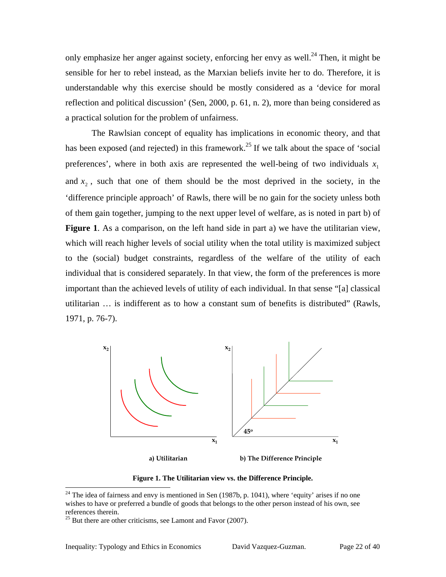only emphasize her anger against society, enforcing her envy as well.<sup>24</sup> Then, it might be sensible for her to rebel instead, as the Marxian beliefs invite her to do. Therefore, it is understandable why this exercise should be mostly considered as a 'device for moral reflection and political discussion' (Sen, 2000, p. 61, n. 2), more than being considered as a practical solution for the problem of unfairness.

The Rawlsian concept of equality has implications in economic theory, and that has been exposed (and rejected) in this framework.<sup>25</sup> If we talk about the space of 'social preferences', where in both axis are represented the well-being of two individuals  $x_1$ and  $x_2$ , such that one of them should be the most deprived in the society, in the 'difference principle approach' of Rawls, there will be no gain for the society unless both of them gain together, jumping to the next upper level of welfare, as is noted in part b) of **[Figure 1](#page-21-0)**. As a comparison, on the left hand side in part a) we have the utilitarian view, which will reach higher levels of social utility when the total utility is maximized subject to the (social) budget constraints, regardless of the welfare of the utility of each individual that is considered separately. In that view, the form of the preferences is more important than the achieved levels of utility of each individual. In that sense "[a] classical utilitarian … is indifferent as to how a constant sum of benefits is distributed" (Rawls, 1971, p. 76-7).

<span id="page-21-0"></span>

**a) Utilitarian b) The Difference Principle**

**Figure 1. The Utilitarian view vs. the Difference Principle.**

<span id="page-21-1"></span> $24$  The idea of fairness and envy is mentioned in Sen (1987b, p. 1041), where 'equity' arises if no one wishes to have or preferred a bundle of goods that belongs to the other person instead of his own, see

<span id="page-21-2"></span> $25$  But there are other criticisms, see Lamont and Favor (2007).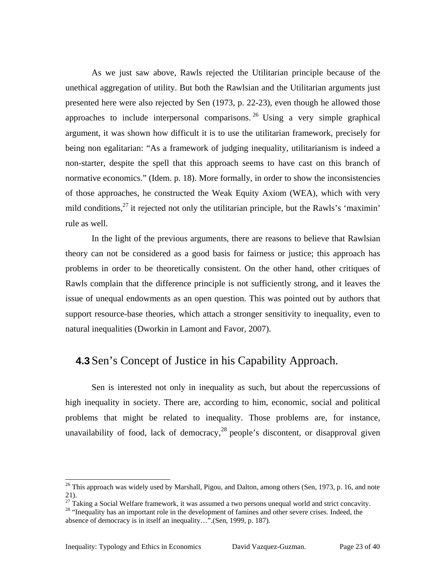As we just saw above, Rawls rejected the Utilitarian principle because of the unethical aggregation of utility. But both the Rawlsian and the Utilitarian arguments just presented here were also rejected by Sen (1973, p. 22-23), even though he allowed those approaches to include interpersonal comparisons. <sup>[26](#page-22-0)</sup> Using a very simple graphical argument, it was shown how difficult it is to use the utilitarian framework, precisely for being non egalitarian: "As a framework of judging inequality, utilitarianism is indeed a non-starter, despite the spell that this approach seems to have cast on this branch of normative economics." (Idem. p. 18). More formally, in order to show the inconsistencies of those approaches, he constructed the Weak Equity Axiom (WEA), which with very mild conditions, $^{27}$  it rejected not only the utilitarian principle, but the Rawls's 'maximin' rule as well.

In the light of the previous arguments, there are reasons to believe that Rawlsian theory can not be considered as a good basis for fairness or justice; this approach has problems in order to be theoretically consistent. On the other hand, other critiques of Rawls complain that the difference principle is not sufficiently strong, and it leaves the issue of unequal endowments as an open question. This was pointed out by authors that support resource-base theories, which attach a stronger sensitivity to inequality, even to natural inequalities (Dworkin in Lamont and Favor, 2007).

#### **4.3** Sen's Concept of Justice in his Capability Approach.

Sen is interested not only in inequality as such, but about the repercussions of high inequality in society. There are, according to him, economic, social and political problems that might be related to inequality. Those problems are, for instance, unavailability of food, lack of democracy,  $28$  people's discontent, or disapproval given

<span id="page-22-0"></span><sup>&</sup>lt;sup>26</sup> This approach was widely used by Marshall, Pigou, and Dalton, among others (Sen, 1973, p. 16, and note

<span id="page-22-1"></span><sup>21). &</sup>lt;sup>27</sup> Taking a Social Welfare framework, it was assumed a two persons unequal world and strict concavity. <sup>28</sup> "Inequality has an important role in the development of famines and other severe crises. Indeed, the

<span id="page-22-2"></span>absence of democracy is in itself an inequality…".(Sen, 1999, p. 187).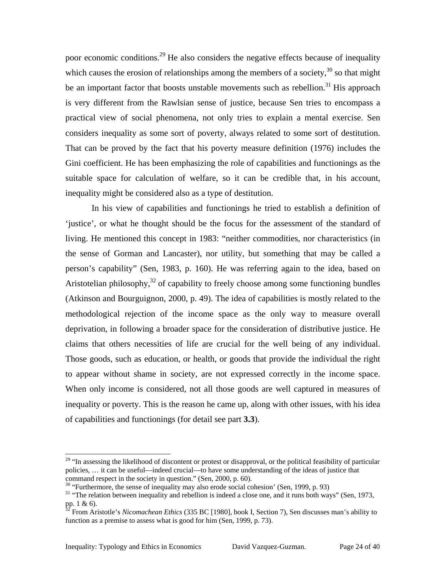poor economic conditions[.29](#page-23-0) He also considers the negative effects because of inequality which causes the erosion of relationships among the members of a society,  $30$  so that might be an important factor that boosts unstable movements such as rebellion.<sup>31</sup> His approach is very different from the Rawlsian sense of justice, because Sen tries to encompass a practical view of social phenomena, not only tries to explain a mental exercise. Sen considers inequality as some sort of poverty, always related to some sort of destitution. That can be proved by the fact that his poverty measure definition (1976) includes the Gini coefficient. He has been emphasizing the role of capabilities and functionings as the suitable space for calculation of welfare, so it can be credible that, in his account, inequality might be considered also as a type of destitution.

In his view of capabilities and functionings he tried to establish a definition of 'justice', or what he thought should be the focus for the assessment of the standard of living. He mentioned this concept in 1983: "neither commodities, nor characteristics (in the sense of Gorman and Lancaster), nor utility, but something that may be called a person's capability" (Sen, 1983, p. 160). He was referring again to the idea, based on Aristotelian philosophy, $32$  of capability to freely choose among some functioning bundles (Atkinson and Bourguignon, 2000, p. 49). The idea of capabilities is mostly related to the methodological rejection of the income space as the only way to measure overall deprivation, in following a broader space for the consideration of distributive justice. He claims that others necessities of life are crucial for the well being of any individual. Those goods, such as education, or health, or goods that provide the individual the right to appear without shame in society, are not expressed correctly in the income space. When only income is considered, not all those goods are well captured in measures of inequality or poverty. This is the reason he came up, along with other issues, with his idea of capabilities and functionings (for detail see part **[3.3](#page-12-1)**).

<span id="page-23-0"></span><sup>&</sup>lt;sup>29</sup> "In assessing the likelihood of discontent or protest or disapproval, or the political feasibility of particular policies, … it can be useful—indeed crucial—to have some understanding of the ideas of justice that command respect in the society in question." (Sen, 2000, p. 60).<br><sup>30</sup> "Furthermore, the sense of inequality may also erode social cohesion' (Sen, 1999, p. 93)<br><sup>31</sup> "The relation between inequality and rebellion is indeed

<span id="page-23-1"></span>

<span id="page-23-2"></span>

<span id="page-23-3"></span>pp. 1 & 6).<br><sup>32</sup> From Aristotle's *Nicomachean Ethics* (335 BC [1980], book I, Section 7), Sen discusses man's ability to function as a premise to assess what is good for him (Sen, 1999, p. 73).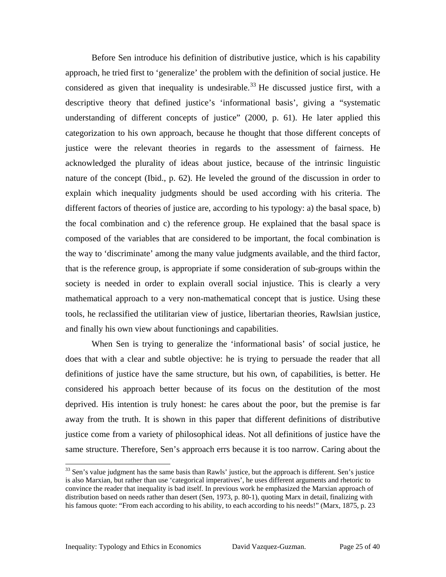Before Sen introduce his definition of distributive justice, which is his capability approach, he tried first to 'generalize' the problem with the definition of social justice. He considered as given that inequality is undesirable.<sup>[33](#page-24-0)</sup> He discussed justice first, with a descriptive theory that defined justice's 'informational basis', giving a "systematic understanding of different concepts of justice" (2000, p. 61). He later applied this categorization to his own approach, because he thought that those different concepts of justice were the relevant theories in regards to the assessment of fairness. He acknowledged the plurality of ideas about justice, because of the intrinsic linguistic nature of the concept (Ibid., p. 62). He leveled the ground of the discussion in order to explain which inequality judgments should be used according with his criteria. The different factors of theories of justice are, according to his typology: a) the basal space, b) the focal combination and c) the reference group. He explained that the basal space is composed of the variables that are considered to be important, the focal combination is the way to 'discriminate' among the many value judgments available, and the third factor, that is the reference group, is appropriate if some consideration of sub-groups within the society is needed in order to explain overall social injustice. This is clearly a very mathematical approach to a very non-mathematical concept that is justice. Using these tools, he reclassified the utilitarian view of justice, libertarian theories, Rawlsian justice, and finally his own view about functionings and capabilities.

When Sen is trying to generalize the 'informational basis' of social justice, he does that with a clear and subtle objective: he is trying to persuade the reader that all definitions of justice have the same structure, but his own, of capabilities, is better. He considered his approach better because of its focus on the destitution of the most deprived. His intention is truly honest: he cares about the poor, but the premise is far away from the truth. It is shown in this paper that different definitions of distributive justice come from a variety of philosophical ideas. Not all definitions of justice have the same structure. Therefore, Sen's approach errs because it is too narrow. Caring about the

<span id="page-24-0"></span><sup>&</sup>lt;sup>33</sup> Sen's value judgment has the same basis than Rawls' justice, but the approach is different. Sen's justice is also Marxian, but rather than use 'categorical imperatives', he uses different arguments and rhetoric to convince the reader that inequality is bad itself. In previous work he emphasized the Marxian approach of distribution based on needs rather than desert (Sen, 1973, p. 80-1), quoting Marx in detail, finalizing with his famous quote: "From each according to his ability, to each according to his needs!" (Marx, 1875, p. 23)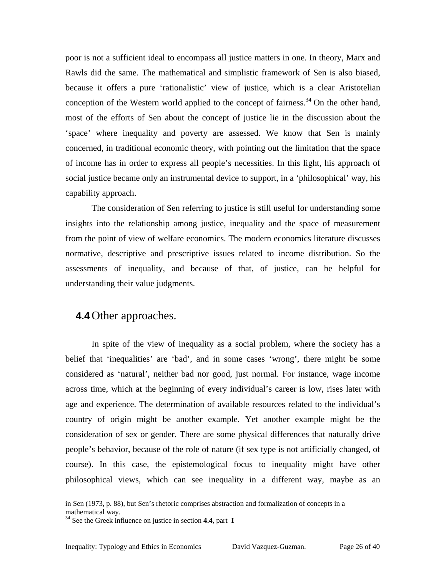poor is not a sufficient ideal to encompass all justice matters in one. In theory, Marx and Rawls did the same. The mathematical and simplistic framework of Sen is also biased, because it offers a pure 'rationalistic' view of justice, which is a clear Aristotelian conception of the Western world applied to the concept of fairness.<sup>[34](#page-25-0)</sup> On the other hand, most of the efforts of Sen about the concept of justice lie in the discussion about the 'space' where inequality and poverty are assessed. We know that Sen is mainly concerned, in traditional economic theory, with pointing out the limitation that the space of income has in order to express all people's necessities. In this light, his approach of social justice became only an instrumental device to support, in a 'philosophical' way, his capability approach.

The consideration of Sen referring to justice is still useful for understanding some insights into the relationship among justice, inequality and the space of measurement from the point of view of welfare economics. The modern economics literature discusses normative, descriptive and prescriptive issues related to income distribution. So the assessments of inequality, and because of that, of justice, can be helpful for understanding their value judgments.

#### **4.4** Other approaches.

In spite of the view of inequality as a social problem, where the society has a belief that 'inequalities' are 'bad', and in some cases 'wrong', there might be some considered as 'natural', neither bad nor good, just normal. For instance, wage income across time, which at the beginning of every individual's career is low, rises later with age and experience. The determination of available resources related to the individual's country of origin might be another example. Yet another example might be the consideration of sex or gender. There are some physical differences that naturally drive people's behavior, because of the role of nature (if sex type is not artificially changed, of course). In this case, the epistemological focus to inequality might have other philosophical views, which can see inequality in a different way, maybe as an

-

in Sen (1973, p. 88), but Sen's rhetoric comprises abstraction and formalization of concepts in a mathematical way.<br><sup>34</sup> See the Greek influence on justice in section **4.4**, part **I** 

<span id="page-25-0"></span>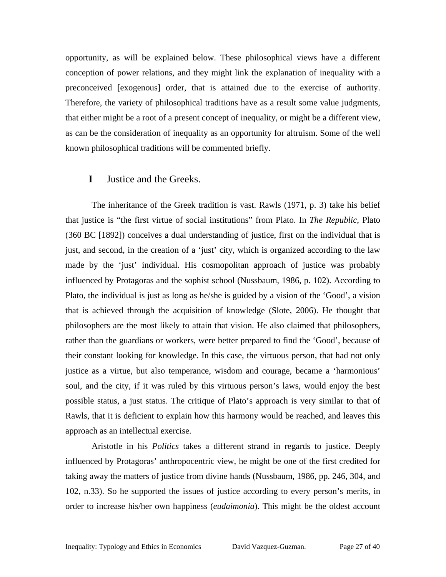opportunity, as will be explained below. These philosophical views have a different conception of power relations, and they might link the explanation of inequality with a preconceived [exogenous] order, that is attained due to the exercise of authority. Therefore, the variety of philosophical traditions have as a result some value judgments, that either might be a root of a present concept of inequality, or might be a different view, as can be the consideration of inequality as an opportunity for altruism. Some of the well known philosophical traditions will be commented briefly.

#### **I** Justice and the Greeks.

The inheritance of the Greek tradition is vast. Rawls (1971, p. 3) take his belief that justice is "the first virtue of social institutions" from Plato. In *The Republic*, Plato (360 BC [1892]) conceives a dual understanding of justice, first on the individual that is just, and second, in the creation of a 'just' city, which is organized according to the law made by the 'just' individual. His cosmopolitan approach of justice was probably influenced by Protagoras and the sophist school (Nussbaum, 1986, p. 102). According to Plato, the individual is just as long as he/she is guided by a vision of the 'Good', a vision that is achieved through the acquisition of knowledge (Slote, 2006). He thought that philosophers are the most likely to attain that vision. He also claimed that philosophers, rather than the guardians or workers, were better prepared to find the 'Good', because of their constant looking for knowledge. In this case, the virtuous person, that had not only justice as a virtue, but also temperance, wisdom and courage, became a 'harmonious' soul, and the city, if it was ruled by this virtuous person's laws, would enjoy the best possible status, a just status. The critique of Plato's approach is very similar to that of Rawls, that it is deficient to explain how this harmony would be reached, and leaves this approach as an intellectual exercise.

Aristotle in his *Politics* takes a different strand in regards to justice. Deeply influenced by Protagoras' anthropocentric view, he might be one of the first credited for taking away the matters of justice from divine hands (Nussbaum, 1986, pp. 246, 304, and 102, n.33). So he supported the issues of justice according to every person's merits, in order to increase his/her own happiness (*eudaimonia*). This might be the oldest account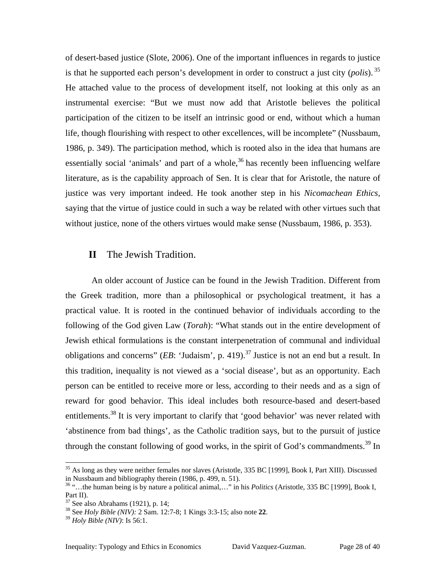of desert-based justice (Slote, 2006). One of the important influences in regards to justice is that he supported each person's development in order to construct a just city (*polis*). [35](#page-27-0) He attached value to the process of development itself, not looking at this only as an instrumental exercise: "But we must now add that Aristotle believes the political participation of the citizen to be itself an intrinsic good or end, without which a human life, though flourishing with respect to other excellences, will be incomplete" (Nussbaum, 1986, p. 349). The participation method, which is rooted also in the idea that humans are essentially social 'animals' and part of a whole,  $36$  has recently been influencing welfare literature, as is the capability approach of Sen. It is clear that for Aristotle, the nature of justice was very important indeed. He took another step in his *Nicomachean Ethics,* saying that the virtue of justice could in such a way be related with other virtues such that without justice, none of the others virtues would make sense (Nussbaum, 1986, p. 353).

#### **II** The Jewish Tradition.

An older account of Justice can be found in the Jewish Tradition. Different from the Greek tradition, more than a philosophical or psychological treatment, it has a practical value. It is rooted in the continued behavior of individuals according to the following of the God given Law (*Torah*): "What stands out in the entire development of Jewish ethical formulations is the constant interpenetration of communal and individual obligations and concerns" (*EB*: 'Judaism', p. 419).<sup>[37](#page-27-2)</sup> Justice is not an end but a result. In this tradition, inequality is not viewed as a 'social disease', but as an opportunity. Each person can be entitled to receive more or less, according to their needs and as a sign of reward for good behavior. This ideal includes both resource-based and desert-based entitlements.<sup>38</sup> It is very important to clarify that 'good behavior' was never related with 'abstinence from bad things', as the Catholic tradition says, but to the pursuit of justice through the constant following of good works, in the spirit of God's commandments.<sup>39</sup> In

<span id="page-27-0"></span> $35$  As long as they were neither females nor slaves (Aristotle, 335 BC [1999], Book I, Part XIII). Discussed in Nussbaum and bibliography therein (1986, p. 499, n. 51).

<span id="page-27-1"></span><sup>&</sup>lt;sup>36</sup> "…the human being is by nature a political animal,…" in his *Politics* (Aristotle, 335 BC [1999], Book I,

<span id="page-27-3"></span><span id="page-27-2"></span>

Part II). 37 See also Abrahams (1921), p. 14; 38 See *Holy Bible (NIV):* 2 Sam. 12:7-8; 1 Kings 3:3-15; also note **22**. 39 *Holy Bible (NIV)*: Is 56:1.

<span id="page-27-4"></span>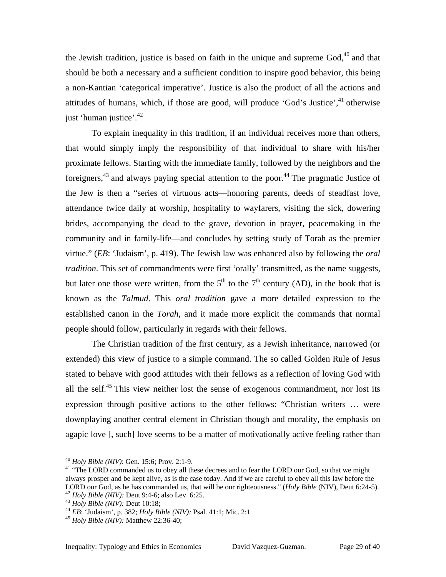the Jewish tradition, justice is based on faith in the unique and supreme  $God<sub>1</sub><sup>40</sup>$  and that should be both a necessary and a sufficient condition to inspire good behavior, this being a non-Kantian 'categorical imperative'. Justice is also the product of all the actions and attitudes of humans, which, if those are good, will produce 'God's Justice',<sup>41</sup> otherwise just 'human justice'.<sup>42</sup>

To explain inequality in this tradition, if an individual receives more than others, that would simply imply the responsibility of that individual to share with his/her proximate fellows. Starting with the immediate family, followed by the neighbors and the foreigners,  $43$  and always paying special attention to the poor.  $44$  The pragmatic Justice of the Jew is then a "series of virtuous acts—honoring parents, deeds of steadfast love, attendance twice daily at worship, hospitality to wayfarers, visiting the sick, dowering brides, accompanying the dead to the grave, devotion in prayer, peacemaking in the community and in family-life—and concludes by setting study of Torah as the premier virtue." (*EB*: 'Judaism', p. 419). The Jewish law was enhanced also by following the *oral tradition*. This set of commandments were first 'orally' transmitted, as the name suggests, but later one those were written, from the  $5<sup>th</sup>$  to the  $7<sup>th</sup>$  century (AD), in the book that is known as the *Talmud*. This *oral tradition* gave a more detailed expression to the established canon in the *Torah*, and it made more explicit the commands that normal people should follow, particularly in regards with their fellows.

The Christian tradition of the first century, as a Jewish inheritance, narrowed (or extended) this view of justice to a simple command. The so called Golden Rule of Jesus stated to behave with good attitudes with their fellows as a reflection of loving God with all the self.<sup>[45](#page-28-5)</sup> This view neither lost the sense of exogenous commandment, nor lost its expression through positive actions to the other fellows: "Christian writers … were downplaying another central element in Christian though and morality, the emphasis on agapic love [, such] love seems to be a matter of motivationally active feeling rather than

<span id="page-28-1"></span><span id="page-28-0"></span>

<sup>&</sup>lt;sup>40</sup> *Holy Bible (NIV)*: Gen. 15:6; Prov. 2:1-9.<br><sup>41</sup> "The LORD commanded us to obey all these decrees and to fear the LORD our God, so that we might always prosper and be kept alive, as is the case today. And if we are careful to obey all this law before the LORD our God, as he has commanded us, that will be our righteousness." (*Holy Bible* (NIV), Deut 6:24-5).<br><sup>42</sup> Holy Bible (NIV): Deut 9:4-6; also Lev. 6:25.<br><sup>43</sup> Holy Bible (NIV): Deut 10:18;<br><sup>44</sup> EB: 'Judaism', p. 382; H

<span id="page-28-2"></span>

<span id="page-28-3"></span>

<span id="page-28-4"></span>

<span id="page-28-5"></span>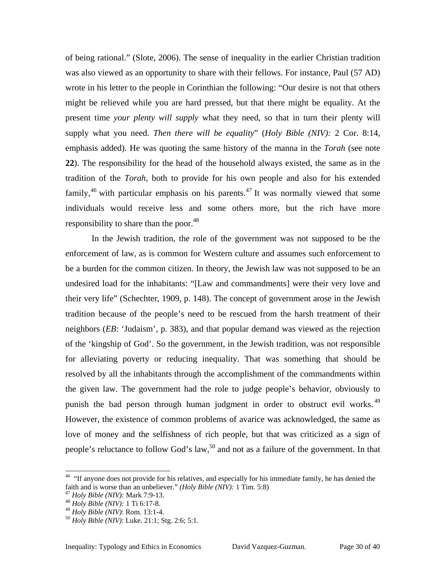of being rational." (Slote, 2006). The sense of inequality in the earlier Christian tradition was also viewed as an opportunity to share with their fellows. For instance, Paul (57 AD) wrote in his letter to the people in Corinthian the following: "Our desire is not that others might be relieved while you are hard pressed, but that there might be equality. At the present time *your plenty will supply* what they need, so that in turn their plenty will supply what you need. *Then there will be equality*" (*Holy Bible (NIV):* 2 Cor. 8:14, emphasis added). He was quoting the same history of the manna in the *Torah* (see note **[22](#page-19-2)**). The responsibility for the head of the household always existed, the same as in the tradition of the *Torah*, both to provide for his own people and also for his extended family, $46$  with particular emphasis on his parents. $47$  It was normally viewed that some individuals would receive less and some others more, but the rich have more responsibility to share than the poor. $48$ 

In the Jewish tradition, the role of the government was not supposed to be the enforcement of law, as is common for Western culture and assumes such enforcement to be a burden for the common citizen. In theory, the Jewish law was not supposed to be an undesired load for the inhabitants: "[Law and commandments] were their very love and their very life" (Schechter, 1909, p. 148). The concept of government arose in the Jewish tradition because of the people's need to be rescued from the harsh treatment of their neighbors (*EB*: 'Judaism', p. 383), and that popular demand was viewed as the rejection of the 'kingship of God'. So the government, in the Jewish tradition, was not responsible for alleviating poverty or reducing inequality. That was something that should be resolved by all the inhabitants through the accomplishment of the commandments within the given law. The government had the role to judge people's behavior, obviously to punish the bad person through human judgment in order to obstruct evil works.<sup>[49](#page-29-3)</sup> However, the existence of common problems of avarice was acknowledged, the same as love of money and the selfishness of rich people, but that was criticized as a sign of people's reluctance to follow God's law,<sup>[50](#page-29-4)</sup> and not as a failure of the government. In that

<span id="page-29-0"></span><sup>&</sup>lt;sup>46</sup> "If anyone does not provide for his relatives, and especially for his immediate family, he has denied the faith and is worse than an unbeliever." (*Holy Bible (NIV)*: 1 Tim. 5:8)<br><sup>47</sup> *Holy Bible (NIV)*: Mark 7:9-13.<br><sup>48</sup> *Holy Bible (NIV)*: 1 Ti 6:17-8.<br><sup>49</sup> *Holy Bible (NIV)*: Rom. 13:1-4.<br><sup>50</sup> *Holy Bible (NIV)*: Luke. 21:

<span id="page-29-1"></span>

<span id="page-29-2"></span>

<span id="page-29-3"></span>

<span id="page-29-4"></span>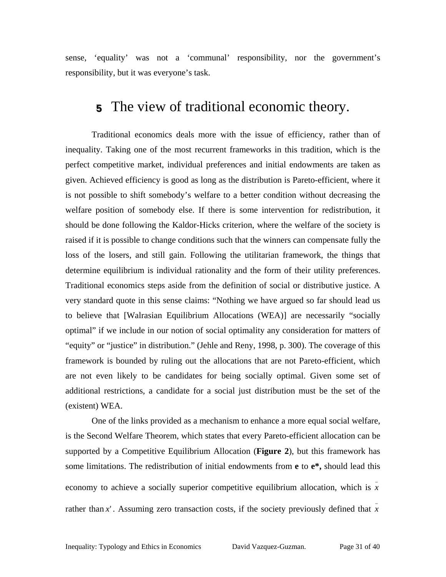sense, 'equality' was not a 'communal' responsibility, nor the government's responsibility, but it was everyone's task.

### <span id="page-30-0"></span>**5** The view of traditional economic theory.

Traditional economics deals more with the issue of efficiency, rather than of inequality. Taking one of the most recurrent frameworks in this tradition, which is the perfect competitive market, individual preferences and initial endowments are taken as given. Achieved efficiency is good as long as the distribution is Pareto-efficient, where it is not possible to shift somebody's welfare to a better condition without decreasing the welfare position of somebody else. If there is some intervention for redistribution, it should be done following the Kaldor-Hicks criterion, where the welfare of the society is raised if it is possible to change conditions such that the winners can compensate fully the loss of the losers, and still gain. Following the utilitarian framework, the things that determine equilibrium is individual rationality and the form of their utility preferences. Traditional economics steps aside from the definition of social or distributive justice. A very standard quote in this sense claims: "Nothing we have argued so far should lead us to believe that [Walrasian Equilibrium Allocations (WEA)] are necessarily "socially optimal" if we include in our notion of social optimality any consideration for matters of "equity" or "justice" in distribution." (Jehle and Reny, 1998, p. 300). The coverage of this framework is bounded by ruling out the allocations that are not Pareto-efficient, which are not even likely to be candidates for being socially optimal. Given some set of additional restrictions, a candidate for a social just distribution must be the set of the (existent) WEA.

One of the links provided as a mechanism to enhance a more equal social welfare, is the Second Welfare Theorem, which states that every Pareto-efficient allocation can be supported by a Competitive Equilibrium Allocation (**[Figure 2](#page-31-0)**), but this framework has some limitations. The redistribution of initial endowments from **e** to **e\*,** should lead this economy to achieve a socially superior competitive equilibrium allocation, which is  $\bar{x}$ rather than x'. Assuming zero transaction costs, if the society previously defined that  $\overline{x}$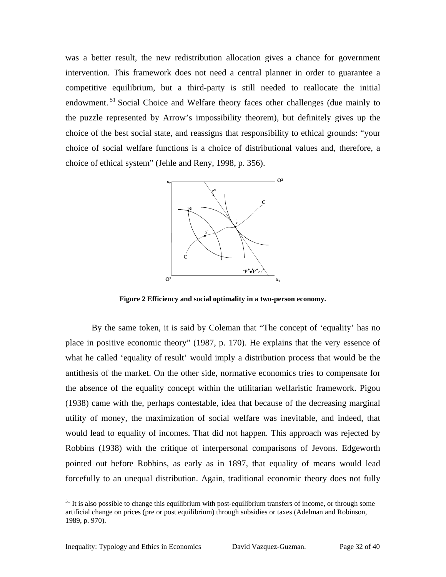was a better result, the new redistribution allocation gives a chance for government intervention. This framework does not need a central planner in order to guarantee a competitive equilibrium, but a third-party is still needed to reallocate the initial endowment.<sup>51</sup> Social Choice and Welfare theory faces other challenges (due mainly to the puzzle represented by Arrow's impossibility theorem), but definitely gives up the choice of the best social state, and reassigns that responsibility to ethical grounds: "your choice of social welfare functions is a choice of distributional values and, therefore, a choice of ethical system" (Jehle and Reny, 1998, p. 356).

<span id="page-31-0"></span>

**Figure 2 Efficiency and social optimality in a two-person economy.**

By the same token, it is said by Coleman that "The concept of 'equality' has no place in positive economic theory" (1987, p. 170). He explains that the very essence of what he called 'equality of result' would imply a distribution process that would be the antithesis of the market. On the other side, normative economics tries to compensate for the absence of the equality concept within the utilitarian welfaristic framework. Pigou (1938) came with the, perhaps contestable, idea that because of the decreasing marginal utility of money, the maximization of social welfare was inevitable, and indeed, that would lead to equality of incomes. That did not happen. This approach was rejected by Robbins (1938) with the critique of interpersonal comparisons of Jevons. Edgeworth pointed out before Robbins, as early as in 1897, that equality of means would lead forcefully to an unequal distribution. Again, traditional economic theory does not fully

<span id="page-31-1"></span> $51$  It is also possible to change this equilibrium with post-equilibrium transfers of income, or through some artificial change on prices (pre or post equilibrium) through subsidies or taxes (Adelman and Robinson, 1989, p. 970).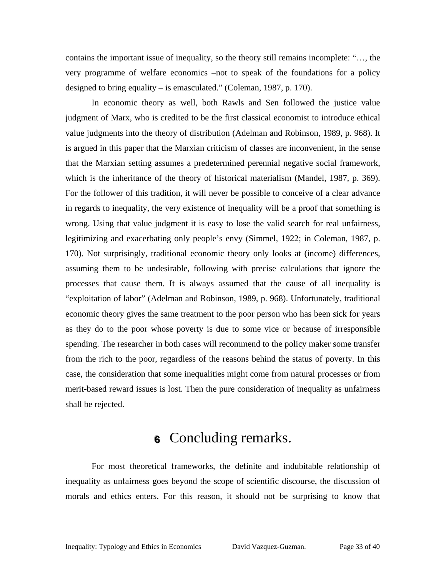contains the important issue of inequality, so the theory still remains incomplete: "…, the very programme of welfare economics –not to speak of the foundations for a policy designed to bring equality – is emasculated." (Coleman, 1987, p. 170).

In economic theory as well, both Rawls and Sen followed the justice value judgment of Marx, who is credited to be the first classical economist to introduce ethical value judgments into the theory of distribution (Adelman and Robinson, 1989, p. 968). It is argued in this paper that the Marxian criticism of classes are inconvenient, in the sense that the Marxian setting assumes a predetermined perennial negative social framework, which is the inheritance of the theory of historical materialism (Mandel, 1987, p. 369). For the follower of this tradition, it will never be possible to conceive of a clear advance in regards to inequality, the very existence of inequality will be a proof that something is wrong. Using that value judgment it is easy to lose the valid search for real unfairness, legitimizing and exacerbating only people's envy (Simmel, 1922; in Coleman, 1987, p. 170). Not surprisingly, traditional economic theory only looks at (income) differences, assuming them to be undesirable, following with precise calculations that ignore the processes that cause them. It is always assumed that the cause of all inequality is "exploitation of labor" (Adelman and Robinson, 1989, p. 968). Unfortunately, traditional economic theory gives the same treatment to the poor person who has been sick for years as they do to the poor whose poverty is due to some vice or because of irresponsible spending. The researcher in both cases will recommend to the policy maker some transfer from the rich to the poor, regardless of the reasons behind the status of poverty. In this case, the consideration that some inequalities might come from natural processes or from merit-based reward issues is lost. Then the pure consideration of inequality as unfairness shall be rejected.

### **6** Concluding remarks.

For most theoretical frameworks, the definite and indubitable relationship of inequality as unfairness goes beyond the scope of scientific discourse, the discussion of morals and ethics enters. For this reason, it should not be surprising to know that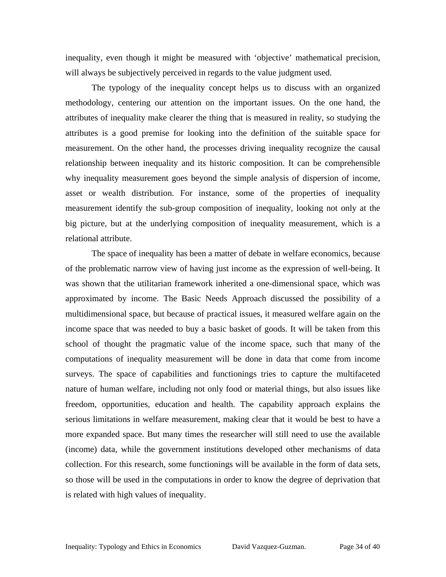inequality, even though it might be measured with 'objective' mathematical precision, will always be subjectively perceived in regards to the value judgment used.

The typology of the inequality concept helps us to discuss with an organized methodology, centering our attention on the important issues. On the one hand, the attributes of inequality make clearer the thing that is measured in reality, so studying the attributes is a good premise for looking into the definition of the suitable space for measurement. On the other hand, the processes driving inequality recognize the causal relationship between inequality and its historic composition. It can be comprehensible why inequality measurement goes beyond the simple analysis of dispersion of income, asset or wealth distribution. For instance, some of the properties of inequality measurement identify the sub-group composition of inequality, looking not only at the big picture, but at the underlying composition of inequality measurement, which is a relational attribute.

The space of inequality has been a matter of debate in welfare economics, because of the problematic narrow view of having just income as the expression of well-being. It was shown that the utilitarian framework inherited a one-dimensional space, which was approximated by income. The Basic Needs Approach discussed the possibility of a multidimensional space, but because of practical issues, it measured welfare again on the income space that was needed to buy a basic basket of goods. It will be taken from this school of thought the pragmatic value of the income space, such that many of the computations of inequality measurement will be done in data that come from income surveys. The space of capabilities and functionings tries to capture the multifaceted nature of human welfare, including not only food or material things, but also issues like freedom, opportunities, education and health. The capability approach explains the serious limitations in welfare measurement, making clear that it would be best to have a more expanded space. But many times the researcher will still need to use the available (income) data, while the government institutions developed other mechanisms of data collection. For this research, some functionings will be available in the form of data sets, so those will be used in the computations in order to know the degree of deprivation that is related with high values of inequality.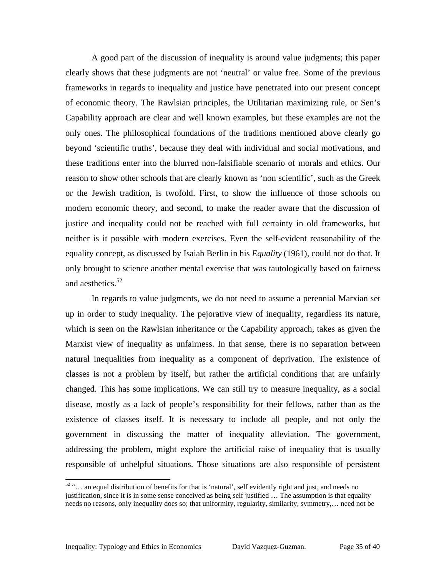A good part of the discussion of inequality is around value judgments; this paper clearly shows that these judgments are not 'neutral' or value free. Some of the previous frameworks in regards to inequality and justice have penetrated into our present concept of economic theory. The Rawlsian principles, the Utilitarian maximizing rule, or Sen's Capability approach are clear and well known examples, but these examples are not the only ones. The philosophical foundations of the traditions mentioned above clearly go beyond 'scientific truths', because they deal with individual and social motivations, and these traditions enter into the blurred non-falsifiable scenario of morals and ethics. Our reason to show other schools that are clearly known as 'non scientific', such as the Greek or the Jewish tradition, is twofold. First, to show the influence of those schools on modern economic theory, and second, to make the reader aware that the discussion of justice and inequality could not be reached with full certainty in old frameworks, but neither is it possible with modern exercises. Even the self-evident reasonability of the equality concept, as discussed by Isaiah Berlin in his *Equality* (1961), could not do that. It only brought to science another mental exercise that was tautologically based on fairness and aesthetics.<sup>52</sup>

In regards to value judgments, we do not need to assume a perennial Marxian set up in order to study inequality. The pejorative view of inequality, regardless its nature, which is seen on the Rawlsian inheritance or the Capability approach, takes as given the Marxist view of inequality as unfairness. In that sense, there is no separation between natural inequalities from inequality as a component of deprivation. The existence of classes is not a problem by itself, but rather the artificial conditions that are unfairly changed. This has some implications. We can still try to measure inequality, as a social disease, mostly as a lack of people's responsibility for their fellows, rather than as the existence of classes itself. It is necessary to include all people, and not only the government in discussing the matter of inequality alleviation. The government, addressing the problem, might explore the artificial raise of inequality that is usually responsible of unhelpful situations. Those situations are also responsible of persistent

<span id="page-34-0"></span> <sup>52 &</sup>quot;… an equal distribution of benefits for that is 'natural', self evidently right and just, and needs no justification, since it is in some sense conceived as being self justified … The assumption is that equality needs no reasons, only inequality does so; that uniformity, regularity, similarity, symmetry,… need not be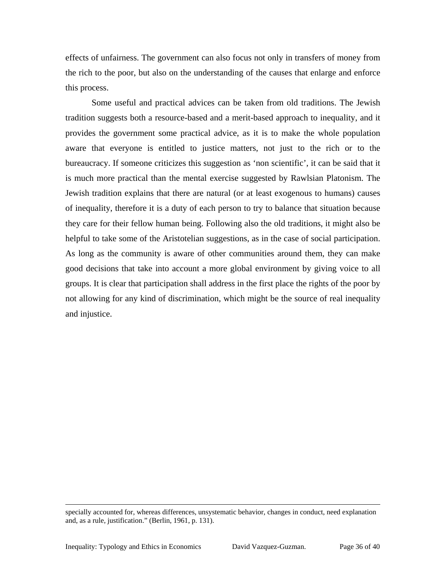effects of unfairness. The government can also focus not only in transfers of money from the rich to the poor, but also on the understanding of the causes that enlarge and enforce this process.

Some useful and practical advices can be taken from old traditions. The Jewish tradition suggests both a resource-based and a merit-based approach to inequality, and it provides the government some practical advice, as it is to make the whole population aware that everyone is entitled to justice matters, not just to the rich or to the bureaucracy. If someone criticizes this suggestion as 'non scientific', it can be said that it is much more practical than the mental exercise suggested by Rawlsian Platonism. The Jewish tradition explains that there are natural (or at least exogenous to humans) causes of inequality, therefore it is a duty of each person to try to balance that situation because they care for their fellow human being. Following also the old traditions, it might also be helpful to take some of the Aristotelian suggestions, as in the case of social participation. As long as the community is aware of other communities around them, they can make good decisions that take into account a more global environment by giving voice to all groups. It is clear that participation shall address in the first place the rights of the poor by not allowing for any kind of discrimination, which might be the source of real inequality and injustice.

1

specially accounted for, whereas differences, unsystematic behavior, changes in conduct, need explanation and, as a rule, justification." (Berlin, 1961, p. 131).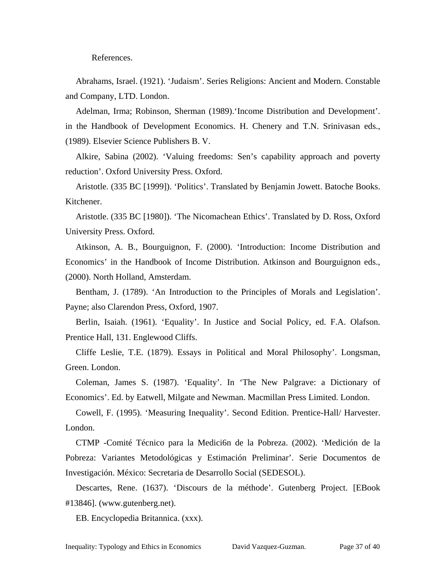References.

Abrahams, Israel. (1921). 'Judaism'. Series Religions: Ancient and Modern. Constable and Company, LTD. London.

Adelman, Irma; Robinson, Sherman (1989).'Income Distribution and Development'. in the Handbook of Development Economics. H. Chenery and T.N. Srinivasan eds., (1989). Elsevier Science Publishers B. V.

Alkire, Sabina (2002). 'Valuing freedoms: Sen's capability approach and poverty reduction'. Oxford University Press. Oxford.

Aristotle. (335 BC [1999]). 'Politics'. Translated by Benjamin Jowett. Batoche Books. Kitchener.

Aristotle. (335 BC [1980]). 'The Nicomachean Ethics'. Translated by D. Ross, Oxford University Press. Oxford.

Atkinson, A. B., Bourguignon, F. (2000). 'Introduction: Income Distribution and Economics' in the Handbook of Income Distribution. Atkinson and Bourguignon eds., (2000). North Holland, Amsterdam.

Bentham, J. (1789). 'An Introduction to the Principles of Morals and Legislation'. Payne; also Clarendon Press, Oxford, 1907.

Berlin, Isaiah. (1961). 'Equality'. In Justice and Social Policy, ed. F.A. Olafson. Prentice Hall, 131. Englewood Cliffs.

Cliffe Leslie, T.E. (1879). Essays in Political and Moral Philosophy'. Longsman, Green. London.

Coleman, James S. (1987). 'Equality'. In 'The New Palgrave: a Dictionary of Economics'. Ed. by Eatwell, Milgate and Newman. Macmillan Press Limited. London.

Cowell, F. (1995). 'Measuring Inequality'. Second Edition. Prentice-Hall/ Harvester. London.

CTMP -Comité Técnico para la Medici6n de la Pobreza. (2002). 'Medición de la Pobreza: Variantes Metodológicas y Estimación Preliminar'. Serie Documentos de Investigación. México: Secretaria de Desarrollo Social (SEDESOL).

Descartes, Rene. (1637). 'Discours de la méthode'. Gutenberg Project. [EBook #13846]. (www.gutenberg.net).

EB. Encyclopedia Britannica. (xxx).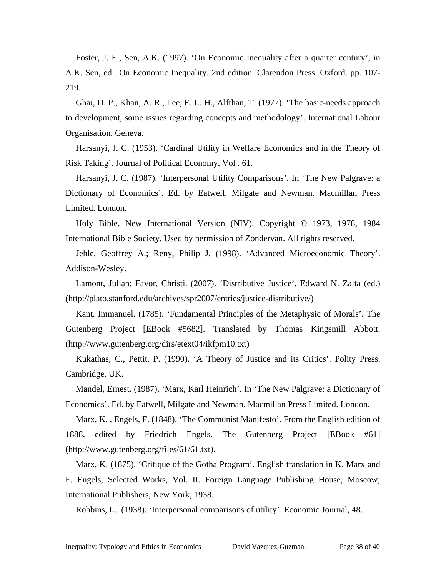Foster, J. E., Sen, A.K. (1997). 'On Economic Inequality after a quarter century', in A.K. Sen, ed.. On Economic Inequality. 2nd edition. Clarendon Press. Oxford. pp. 107- 219.

Ghai, D. P., Khan, A. R., Lee, E. L. H., Alfthan, T. (1977). 'The basic-needs approach to development, some issues regarding concepts and methodology'. International Labour Organisation. Geneva.

Harsanyi, J. C. (1953). 'Cardinal Utility in Welfare Economics and in the Theory of Risk Taking'. Journal of Political Economy, Vol . 61.

Harsanyi, J. C. (1987). 'Interpersonal Utility Comparisons'. In 'The New Palgrave: a Dictionary of Economics'. Ed. by Eatwell, Milgate and Newman. Macmillan Press Limited. London.

Holy Bible. New International Version (NIV). Copyright © 1973, 1978, 1984 International Bible Society. Used by permission of Zondervan. All rights reserved.

Jehle, Geoffrey A.; Reny, Philip J. (1998). 'Advanced Microeconomic Theory'. Addison-Wesley.

Lamont, Julian; Favor, Christi. (2007). 'Distributive Justice'. Edward N. Zalta (ed.) (http://plato.stanford.edu/archives/spr2007/entries/justice-distributive/)

Kant. Immanuel. (1785). 'Fundamental Principles of the Metaphysic of Morals'. The Gutenberg Project [EBook #5682]. Translated by Thomas Kingsmill Abbott. (http://www.gutenberg.org/dirs/etext04/ikfpm10.txt)

Kukathas, C., Pettit, P. (1990). 'A Theory of Justice and its Critics'. Polity Press. Cambridge, UK.

Mandel, Ernest. (1987). 'Marx, Karl Heinrich'. In 'The New Palgrave: a Dictionary of Economics'. Ed. by Eatwell, Milgate and Newman. Macmillan Press Limited. London.

Marx, K. , Engels, F. (1848). 'The Communist Manifesto'. From the English edition of 1888, edited by Friedrich Engels. The Gutenberg Project [EBook #61] (http://www.gutenberg.org/files/61/61.txt).

Marx, K. (1875). 'Critique of the Gotha Program'. English translation in K. Marx and F. Engels, Selected Works, Vol. II. Foreign Language Publishing House, Moscow; International Publishers, New York, 1938.

Robbins, L.. (1938). 'Interpersonal comparisons of utility'. Economic Journal, 48.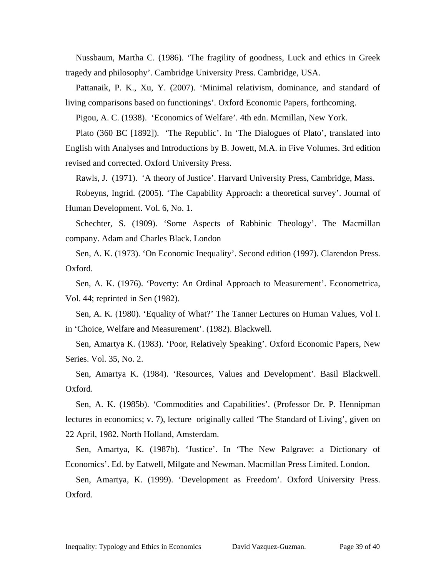Nussbaum, Martha C. (1986). 'The fragility of goodness, Luck and ethics in Greek tragedy and philosophy'. Cambridge University Press. Cambridge, USA.

Pattanaik, P. K., Xu, Y. (2007). 'Minimal relativism, dominance, and standard of living comparisons based on functionings'. Oxford Economic Papers, forthcoming.

Pigou, A. C. (1938). 'Economics of Welfare'. 4th edn. Mcmillan, New York.

Plato (360 BC [1892]). 'The Republic'. In 'The Dialogues of Plato', translated into English with Analyses and Introductions by B. Jowett, M.A. in Five Volumes. 3rd edition revised and corrected. Oxford University Press.

Rawls, J. (1971). 'A theory of Justice'. Harvard University Press, Cambridge, Mass.

Robeyns, Ingrid. (2005). 'The Capability Approach: a theoretical survey'. Journal of Human Development. Vol. 6, No. 1.

Schechter, S. (1909). 'Some Aspects of Rabbinic Theology'. The Macmillan company. Adam and Charles Black. London

Sen, A. K. (1973). 'On Economic Inequality'. Second edition (1997). Clarendon Press. Oxford.

Sen, A. K. (1976). 'Poverty: An Ordinal Approach to Measurement'. Econometrica, Vol. 44; reprinted in Sen (1982).

Sen, A. K. (1980). 'Equality of What?' The Tanner Lectures on Human Values, Vol I. in 'Choice, Welfare and Measurement'. (1982). Blackwell.

Sen, Amartya K. (1983). 'Poor, Relatively Speaking'. Oxford Economic Papers, New Series. Vol. 35, No. 2.

Sen, Amartya K. (1984). 'Resources, Values and Development'. Basil Blackwell. Oxford.

Sen, A. K. (1985b). 'Commodities and Capabilities'. (Professor Dr. P. Hennipman lectures in economics; v. 7), lecture originally called 'The Standard of Living', given on 22 April, 1982. North Holland, Amsterdam.

Sen, Amartya, K. (1987b). 'Justice'. In 'The New Palgrave: a Dictionary of Economics'. Ed. by Eatwell, Milgate and Newman. Macmillan Press Limited. London.

Sen, Amartya, K. (1999). 'Development as Freedom'. Oxford University Press. Oxford.